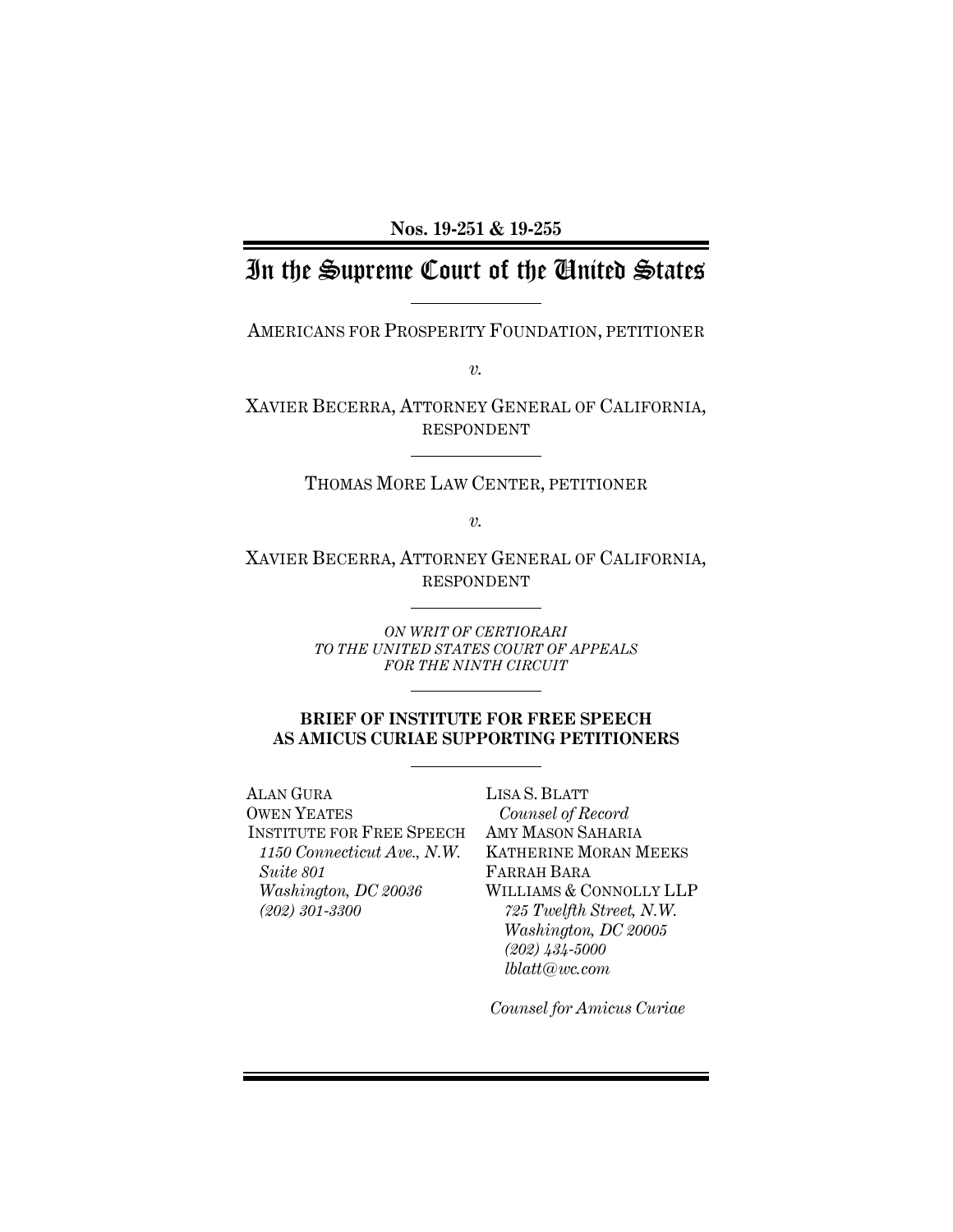**Nos. 19-251 & 19-255**

# In the Supreme Court of the United States

AMERICANS FOR PROSPERITY FOUNDATION, PETITIONER

*v.*

XAVIER BECERRA, ATTORNEY GENERAL OF CALIFORNIA, RESPONDENT

# THOMAS MORE LAW CENTER, PETITIONER

*v.*

XAVIER BECERRA, ATTORNEY GENERAL OF CALIFORNIA, RESPONDENT

> *ON WRIT OF CERTIORARI TO THE UNITED STATES COURT OF APPEALS FOR THE NINTH CIRCUIT*

# **BRIEF OF INSTITUTE FOR FREE SPEECH AS AMICUS CURIAE SUPPORTING PETITIONERS**

ALAN GURA OWEN YEATES INSTITUTE FOR FREE SPEECH *1150 Connecticut Ave., N.W. Suite 801 Washington, DC 20036 (202) 301-3300*

LISA S. BLATT *Counsel of Record* AMY MASON SAHARIA KATHERINE MORAN MEEKS FARRAH BARA WILLIAMS & CONNOLLY LLP *725 Twelfth Street, N.W. Washington, DC 20005 (202) 434-5000 lblatt@wc.com*

*Counsel for Amicus Curiae*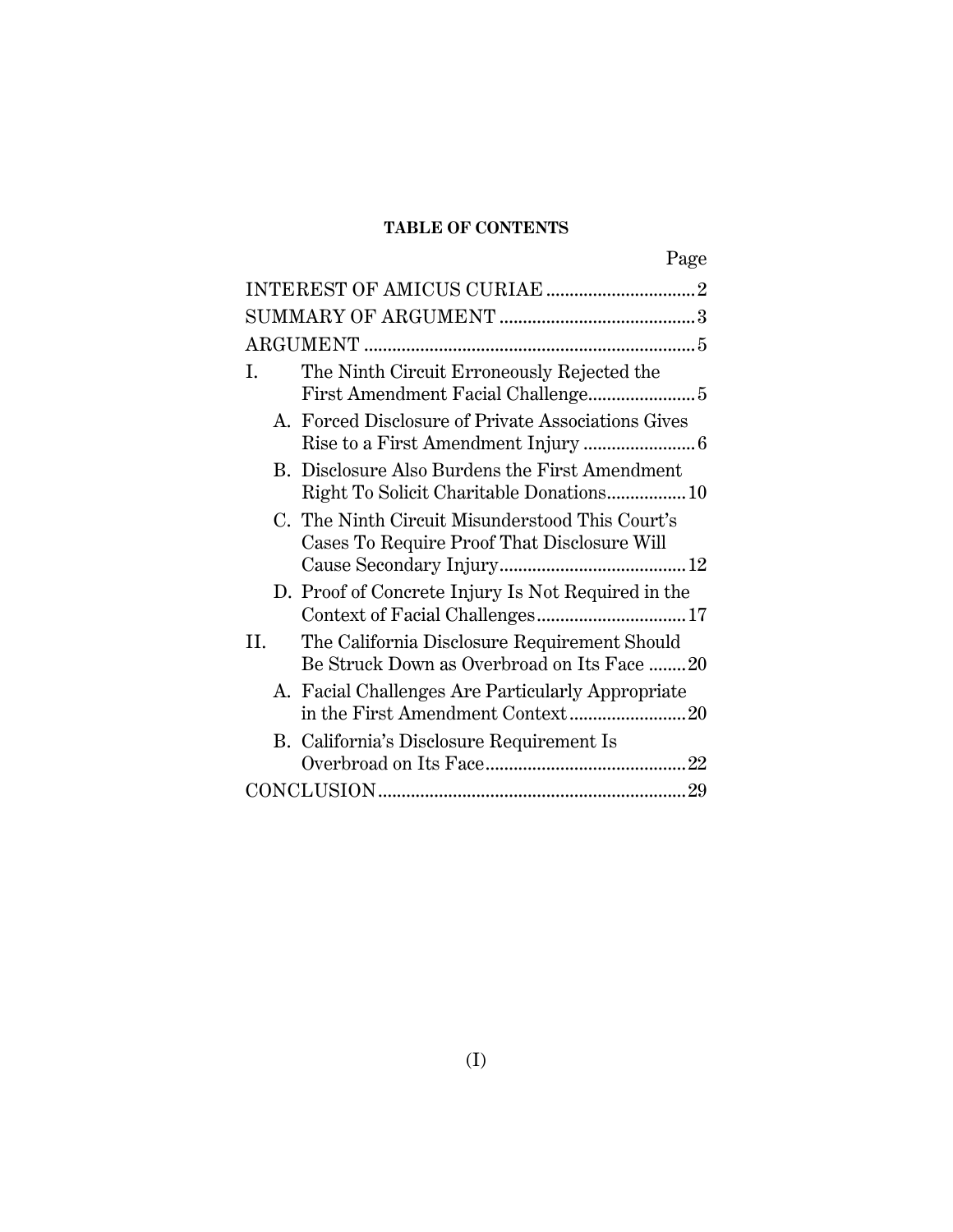# **TABLE OF CONTENTS**

| Page                                                                                             |
|--------------------------------------------------------------------------------------------------|
|                                                                                                  |
|                                                                                                  |
|                                                                                                  |
| The Ninth Circuit Erroneously Rejected the<br>I.                                                 |
| A. Forced Disclosure of Private Associations Gives                                               |
| B. Disclosure Also Burdens the First Amendment<br>Right To Solicit Charitable Donations 10       |
| C. The Ninth Circuit Misunderstood This Court's<br>Cases To Require Proof That Disclosure Will   |
| D. Proof of Concrete Injury Is Not Required in the                                               |
| The California Disclosure Requirement Should<br>H.<br>Be Struck Down as Overbroad on Its Face 20 |
| A. Facial Challenges Are Particularly Appropriate<br>in the First Amendment Context20            |
| B. California's Disclosure Requirement Is                                                        |
|                                                                                                  |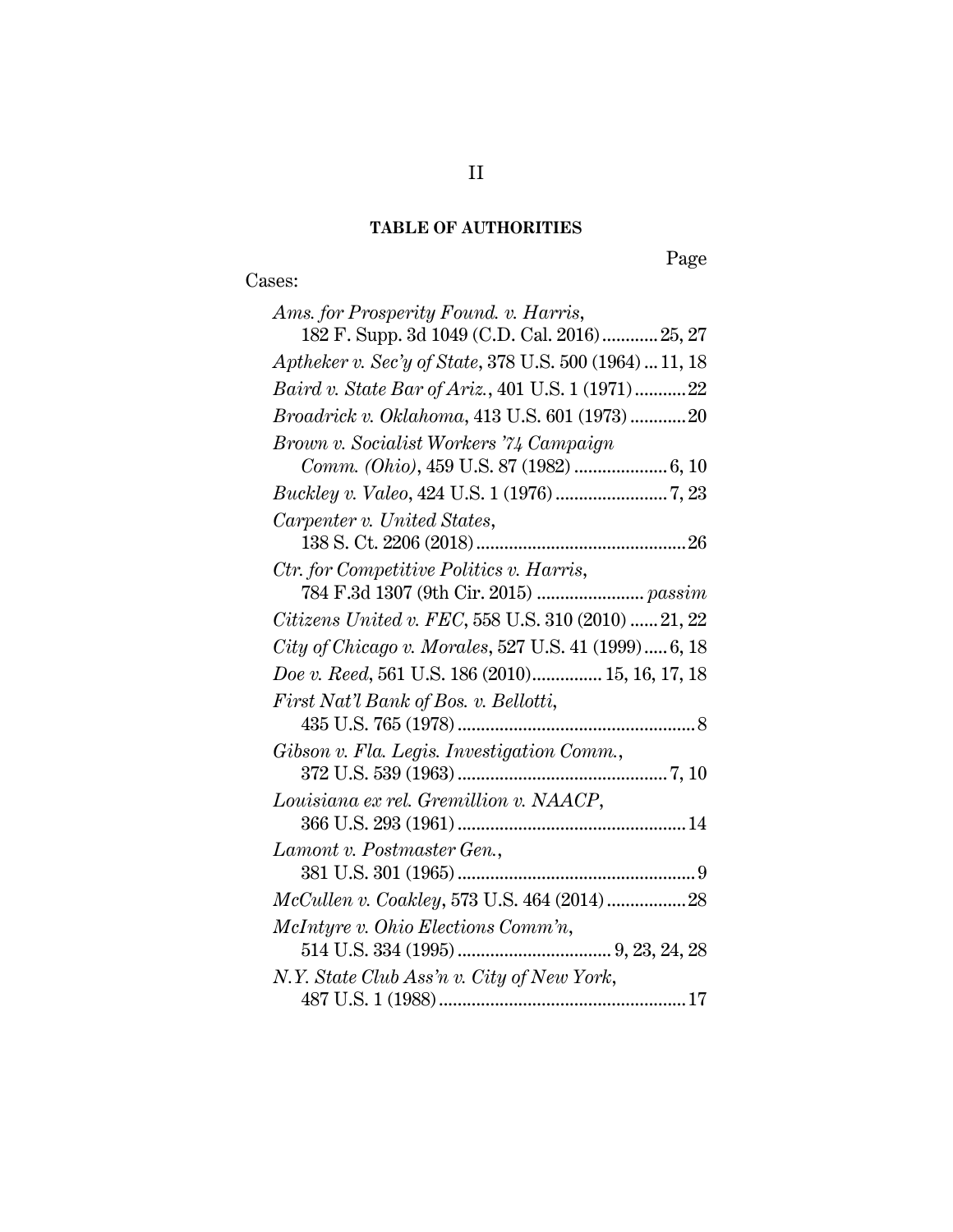# **TABLE OF AUTHORITIES**

# Cases:

Page

| Ams. for Prosperity Found. v. Harris,                   |
|---------------------------------------------------------|
| 182 F. Supp. 3d 1049 (C.D. Cal. 2016) 25, 27            |
| Aptheker v. Sec'y of State, 378 U.S. 500 (1964)  11, 18 |
| Baird v. State Bar of Ariz., 401 U.S. 1 (1971)22        |
| <i>Broadrick v. Oklahoma</i> , 413 U.S. 601 (1973)20    |
| Brown v. Socialist Workers '74 Campaign                 |
|                                                         |
|                                                         |
| Carpenter v. United States,                             |
|                                                         |
| Ctr. for Competitive Politics v. Harris,                |
|                                                         |
| Citizens United v. FEC, 558 U.S. 310 (2010)  21, 22     |
| City of Chicago v. Morales, 527 U.S. 41 (1999) 6, 18    |
| Doe v. Reed, 561 U.S. 186 (2010) 15, 16, 17, 18         |
| First Nat'l Bank of Bos. v. Bellotti,                   |
|                                                         |
| Gibson v. Fla. Legis. Investigation Comm.,              |
|                                                         |
| Louisiana ex rel. Gremillion v. NAACP,                  |
|                                                         |
| Lamont v. Postmaster Gen.,                              |
|                                                         |
| McCullen v. Coakley, 573 U.S. 464 (2014)  28            |
| McIntyre v. Ohio Elections Comm'n,                      |
|                                                         |
| N.Y. State Club Ass'n v. City of New York,              |
|                                                         |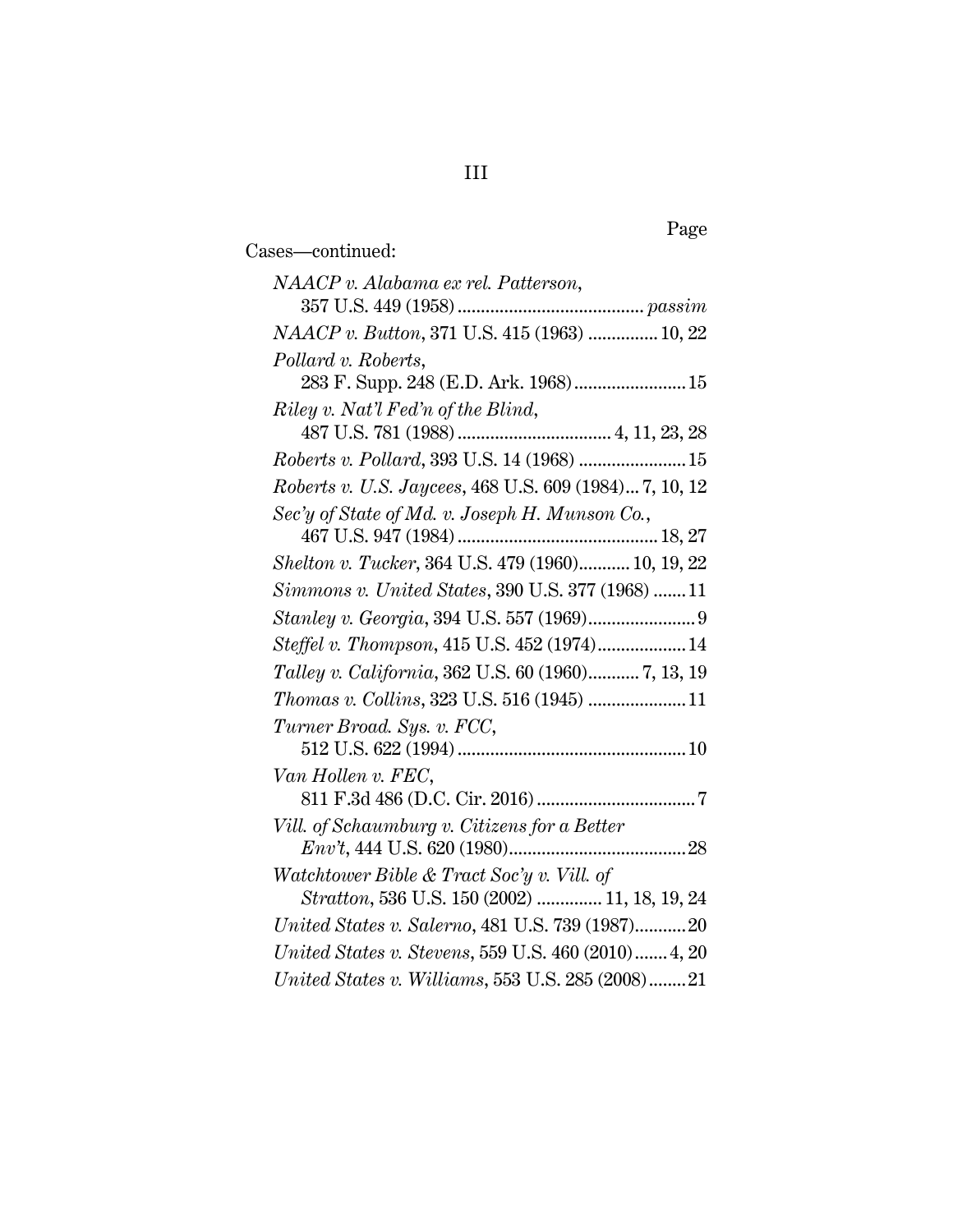| NAACP v. Alabama ex rel. Patterson,                    |
|--------------------------------------------------------|
|                                                        |
| NAACP v. Button, 371 U.S. 415 (1963)  10, 22           |
| Pollard v. Roberts,                                    |
| 283 F. Supp. 248 (E.D. Ark. 1968) 15                   |
| Riley v. Nat'l Fed'n of the Blind,                     |
|                                                        |
| Roberts v. Pollard, 393 U.S. 14 (1968)  15             |
| Roberts v. U.S. Jaycees, 468 U.S. 609 (1984) 7, 10, 12 |
| Sec'y of State of Md. v. Joseph H. Munson Co.,         |
|                                                        |
| Shelton v. Tucker, 364 U.S. 479 (1960) 10, 19, 22      |
| Simmons v. United States, 390 U.S. 377 (1968) 11       |
|                                                        |
| Steffel v. Thompson, 415 U.S. 452 (1974) 14            |
| Talley v. California, 362 U.S. 60 (1960) 7, 13, 19     |
| Thomas v. Collins, 323 U.S. 516 (1945)  11             |
| Turner Broad. Sys. v. FCC,                             |
|                                                        |
| Van Hollen v. FEC,                                     |
|                                                        |
| Vill. of Schaumburg v. Citizens for a Better           |
|                                                        |
| Watchtower Bible & Tract Soc'y v. Vill. of             |
| Stratton, 536 U.S. 150 (2002)  11, 18, 19, 24          |
| United States v. Salerno, 481 U.S. 739 (1987)20        |
| United States v. Stevens, 559 U.S. 460 (2010) 4, 20    |
| United States v. Williams, 553 U.S. 285 (2008)21       |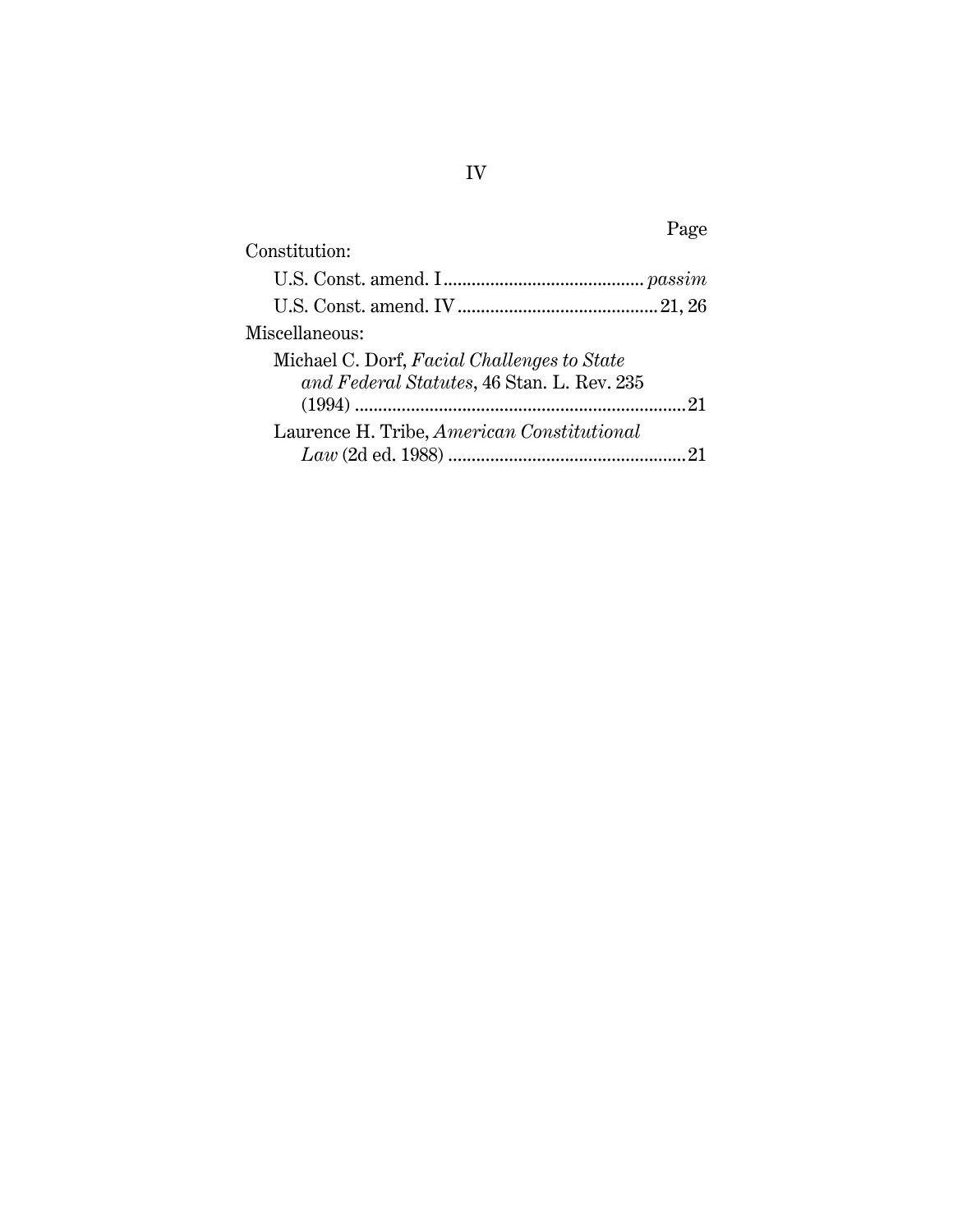| Page                                        |
|---------------------------------------------|
| Constitution:                               |
|                                             |
|                                             |
| Miscellaneous:                              |
| Michael C. Dorf, Facial Challenges to State |
| and Federal Statutes, 46 Stan. L. Rev. 235  |
| 21                                          |
| Laurence H. Tribe, American Constitutional  |
|                                             |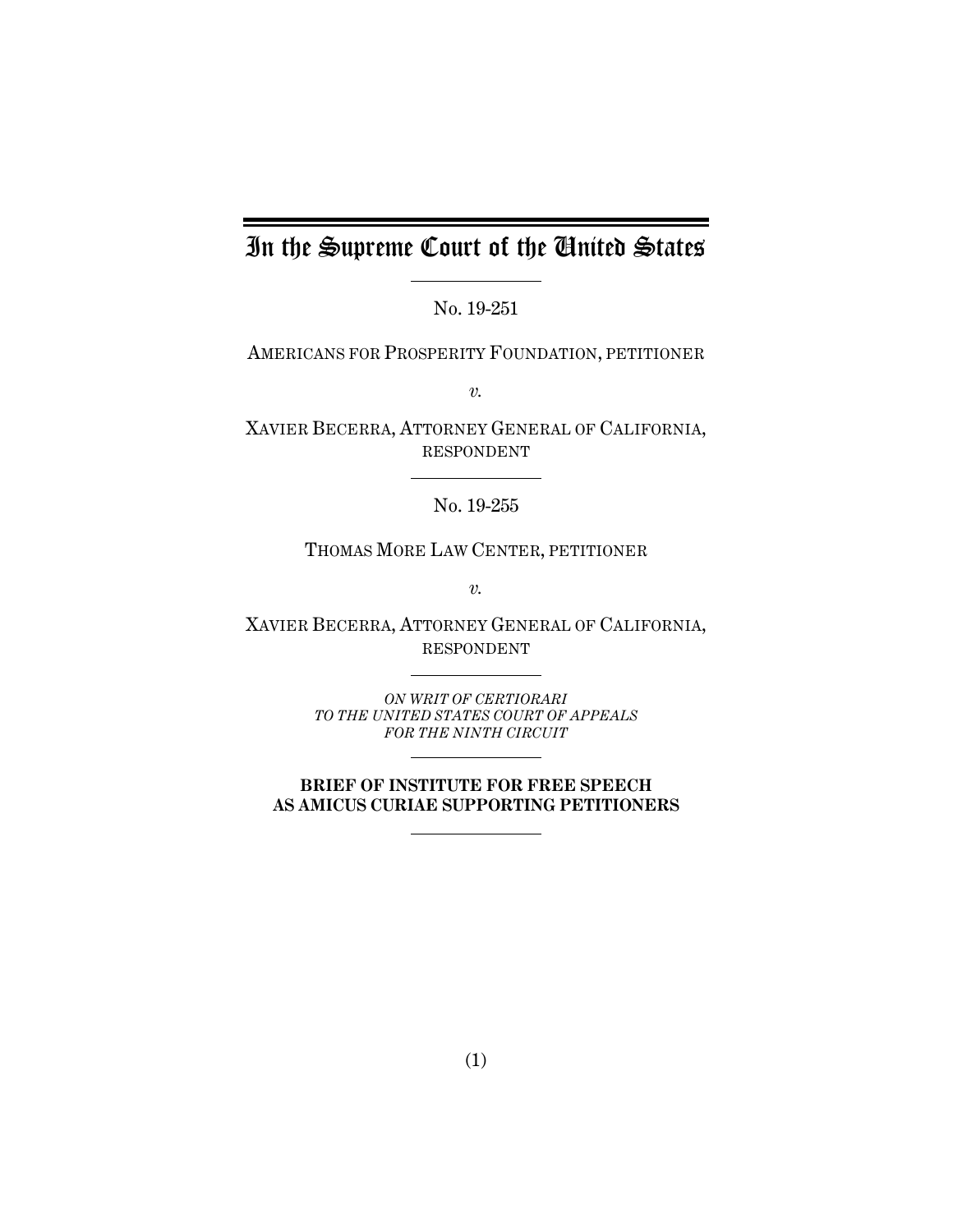# In the Supreme Court of the United States

No. 19-251

AMERICANS FOR PROSPERITY FOUNDATION, PETITIONER

*v.*

XAVIER BECERRA, ATTORNEY GENERAL OF CALIFORNIA, RESPONDENT

No. 19-255

THOMAS MORE LAW CENTER, PETITIONER

*v.*

XAVIER BECERRA, ATTORNEY GENERAL OF CALIFORNIA, RESPONDENT

> *ON WRIT OF CERTIORARI TO THE UNITED STATES COURT OF APPEALS FOR THE NINTH CIRCUIT*

**BRIEF OF INSTITUTE FOR FREE SPEECH AS AMICUS CURIAE SUPPORTING PETITIONERS**

(1)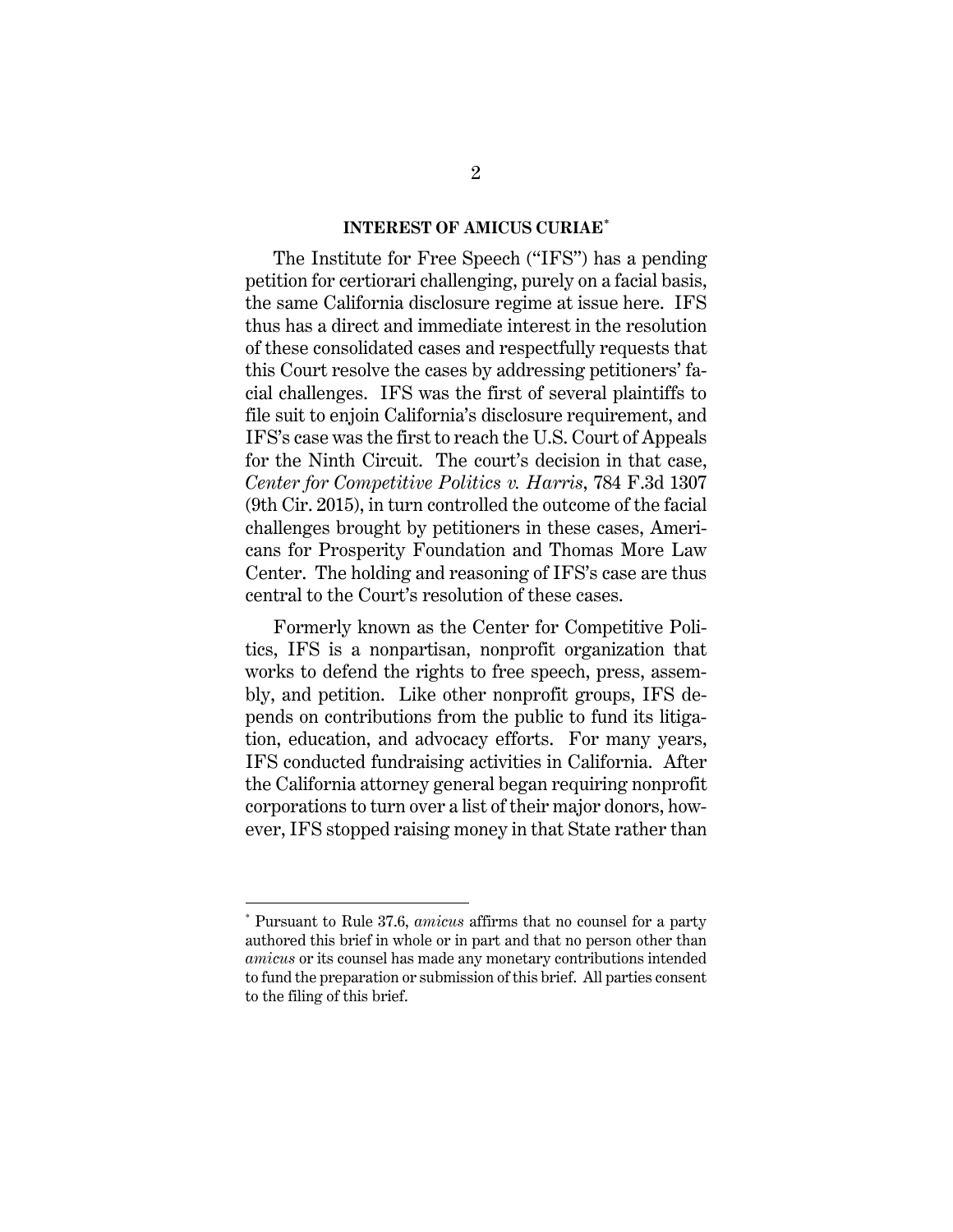#### **INTEREST OF AMICUS CURIAE[\\*](#page-6-2)**

<span id="page-6-0"></span>The Institute for Free Speech ("IFS") has a pending petition for certiorari challenging, purely on a facial basis, the same California disclosure regime at issue here. IFS thus has a direct and immediate interest in the resolution of these consolidated cases and respectfully requests that this Court resolve the cases by addressing petitioners' facial challenges. IFS was the first of several plaintiffs to file suit to enjoin California's disclosure requirement, and IFS's case was the first to reach the U.S. Court of Appeals for the Ninth Circuit. The court's decision in that case, *Center for Competitive Politics v. Harris*, 784 F.3d 1307 (9th Cir. 2015), in turn controlled the outcome of the facial challenges brought by petitioners in these cases, Americans for Prosperity Foundation and Thomas More Law Center. The holding and reasoning of IFS's case are thus central to the Court's resolution of these cases.

<span id="page-6-1"></span>Formerly known as the Center for Competitive Politics, IFS is a nonpartisan, nonprofit organization that works to defend the rights to free speech, press, assembly, and petition. Like other nonprofit groups, IFS depends on contributions from the public to fund its litigation, education, and advocacy efforts. For many years, IFS conducted fundraising activities in California. After the California attorney general began requiring nonprofit corporations to turn over a list of their major donors, however, IFS stopped raising money in that State rather than

 $\overline{a}$ 

<span id="page-6-2"></span><sup>\*</sup> Pursuant to Rule 37.6, *amicus* affirms that no counsel for a party authored this brief in whole or in part and that no person other than *amicus* or its counsel has made any monetary contributions intended to fund the preparation or submission of this brief. All parties consent to the filing of this brief.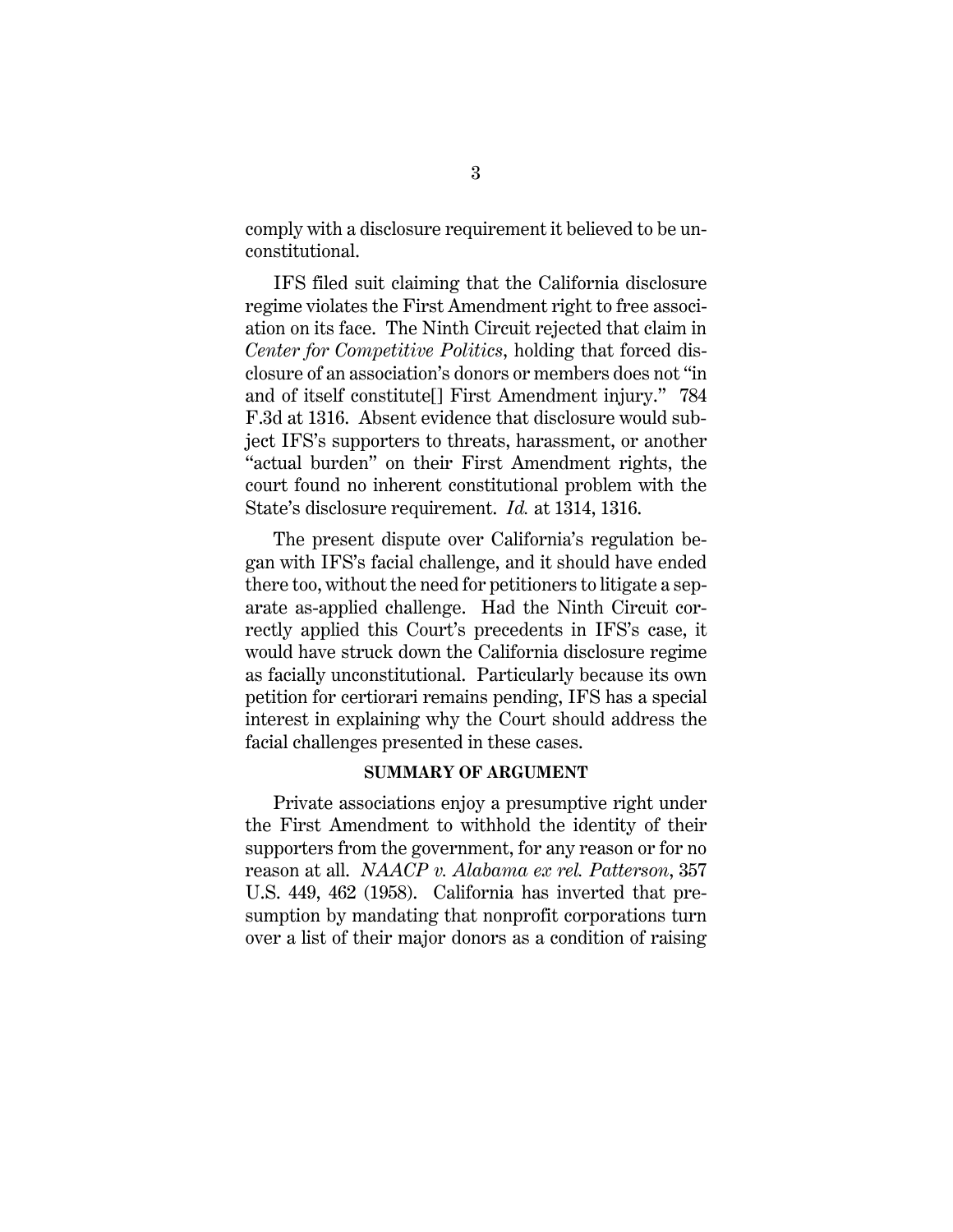comply with a disclosure requirement it believed to be unconstitutional.

<span id="page-7-2"></span>IFS filed suit claiming that the California disclosure regime violates the First Amendment right to free association on its face. The Ninth Circuit rejected that claim in *Center for Competitive Politics*, holding that forced disclosure of an association's donors or members does not "in and of itself constitute[] First Amendment injury." 784 F.3d at 1316. Absent evidence that disclosure would subject IFS's supporters to threats, harassment, or another "actual burden" on their First Amendment rights, the court found no inherent constitutional problem with the State's disclosure requirement. *Id.* at 1314, 1316.

The present dispute over California's regulation began with IFS's facial challenge, and it should have ended there too, without the need for petitioners to litigate a separate as-applied challenge. Had the Ninth Circuit correctly applied this Court's precedents in IFS's case, it would have struck down the California disclosure regime as facially unconstitutional. Particularly because its own petition for certiorari remains pending, IFS has a special interest in explaining why the Court should address the facial challenges presented in these cases.

#### <span id="page-7-1"></span>**SUMMARY OF ARGUMENT**

<span id="page-7-0"></span>Private associations enjoy a presumptive right under the First Amendment to withhold the identity of their supporters from the government, for any reason or for no reason at all. *NAACP v. Alabama ex rel. Patterson*, 357 U.S. 449, 462 (1958). California has inverted that presumption by mandating that nonprofit corporations turn over a list of their major donors as a condition of raising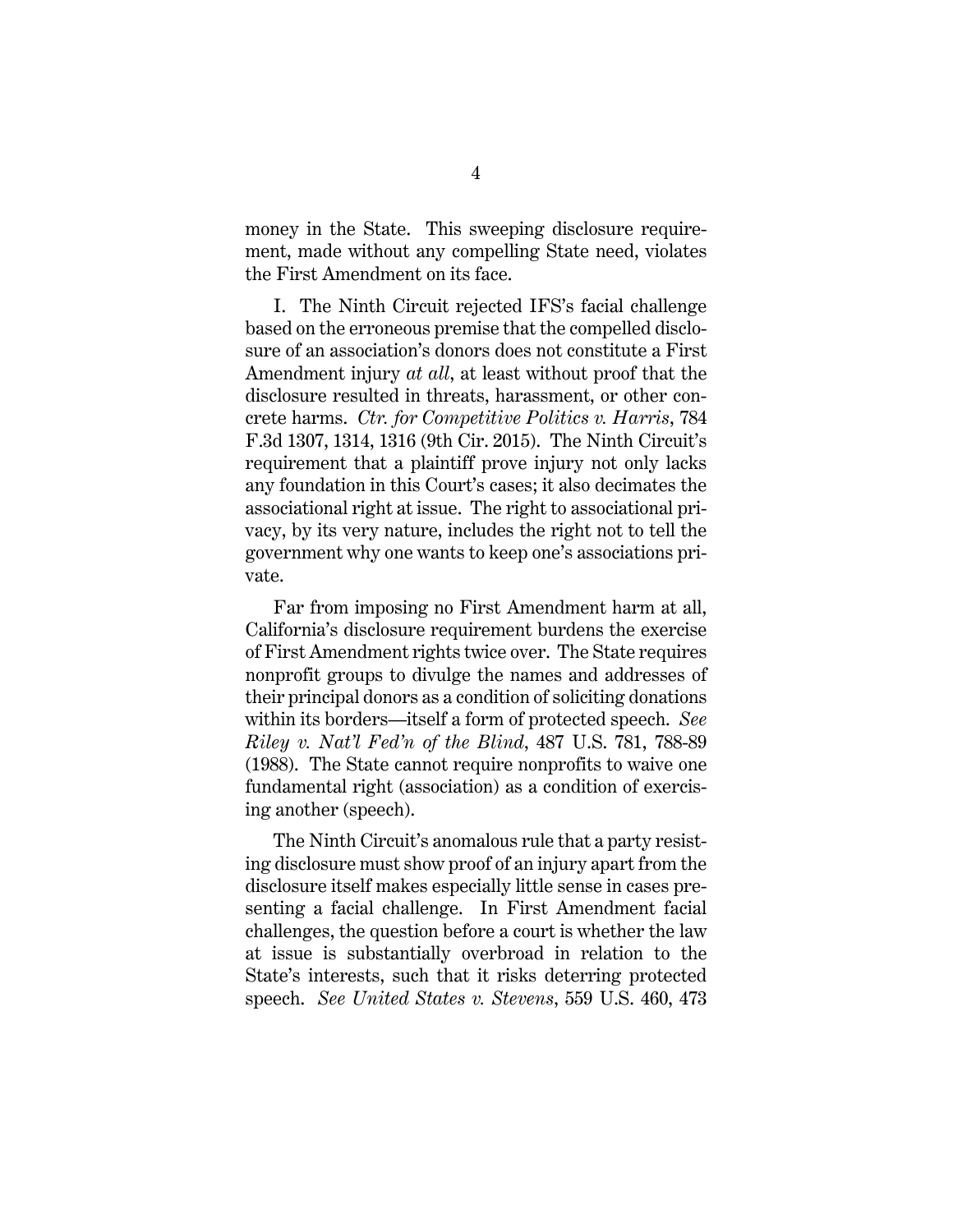money in the State. This sweeping disclosure requirement, made without any compelling State need, violates the First Amendment on its face.

I. The Ninth Circuit rejected IFS's facial challenge based on the erroneous premise that the compelled disclosure of an association's donors does not constitute a First Amendment injury *at all*, at least without proof that the disclosure resulted in threats, harassment, or other concrete harms. *Ctr. for Competitive Politics v. Harris*, 784 F.3d 1307, 1314, 1316 (9th Cir. 2015). The Ninth Circuit's requirement that a plaintiff prove injury not only lacks any foundation in this Court's cases; it also decimates the associational right at issue. The right to associational privacy, by its very nature, includes the right not to tell the government why one wants to keep one's associations private.

Far from imposing no First Amendment harm at all, California's disclosure requirement burdens the exercise of First Amendment rights twice over. The State requires nonprofit groups to divulge the names and addresses of their principal donors as a condition of soliciting donations within its borders—itself a form of protected speech. *See Riley v. Nat'l Fed'n of the Blind*, 487 U.S. 781, 788-89 (1988). The State cannot require nonprofits to waive one fundamental right (association) as a condition of exercising another (speech).

<span id="page-8-1"></span><span id="page-8-0"></span>The Ninth Circuit's anomalous rule that a party resisting disclosure must show proof of an injury apart from the disclosure itself makes especially little sense in cases presenting a facial challenge. In First Amendment facial challenges, the question before a court is whether the law at issue is substantially overbroad in relation to the State's interests, such that it risks deterring protected speech. *See United States v. Stevens*, 559 U.S. 460, 473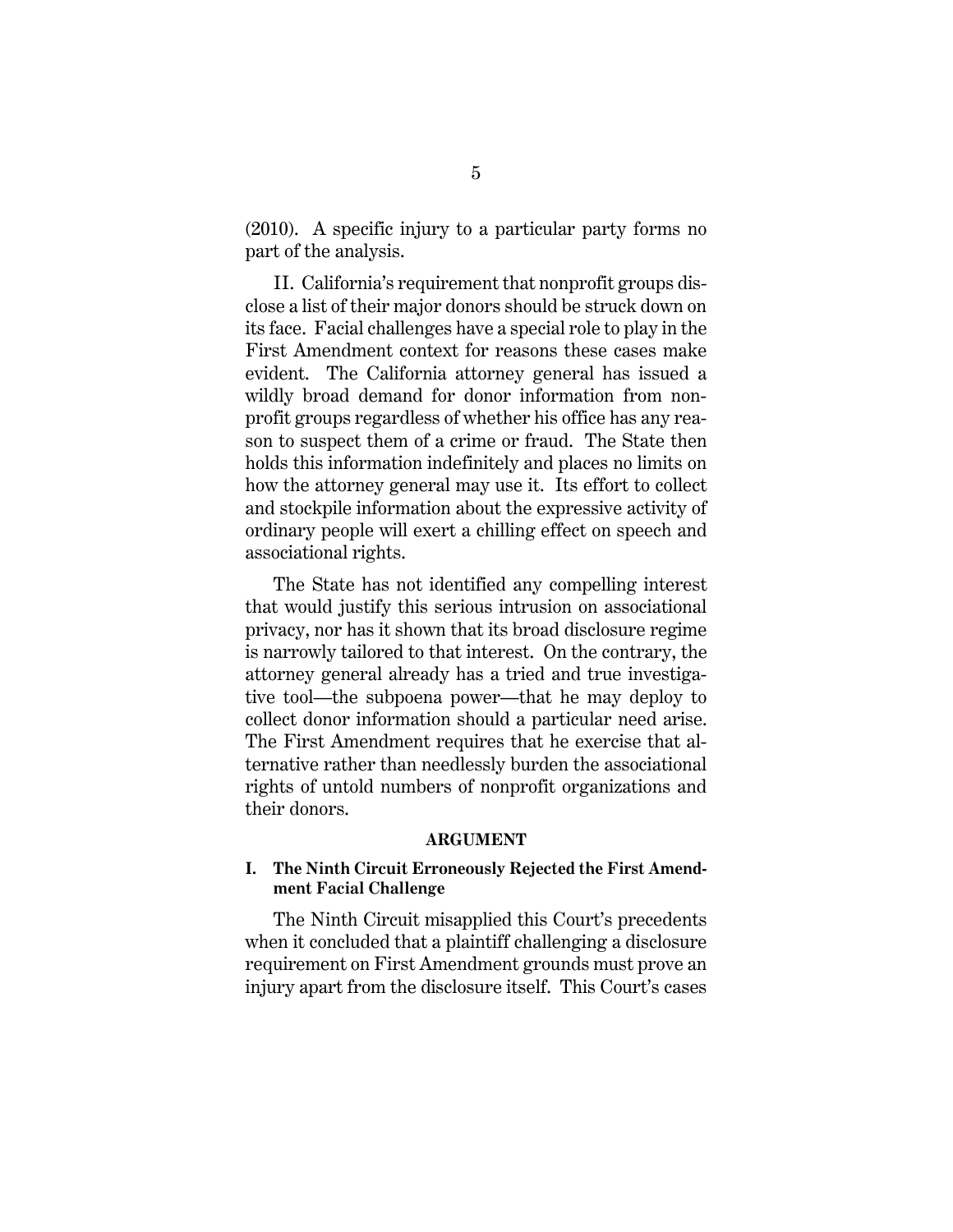(2010). A specific injury to a particular party forms no part of the analysis.

II. California's requirement that nonprofit groups disclose a list of their major donors should be struck down on its face. Facial challenges have a special role to play in the First Amendment context for reasons these cases make evident. The California attorney general has issued a wildly broad demand for donor information from nonprofit groups regardless of whether his office has any reason to suspect them of a crime or fraud. The State then holds this information indefinitely and places no limits on how the attorney general may use it. Its effort to collect and stockpile information about the expressive activity of ordinary people will exert a chilling effect on speech and associational rights.

The State has not identified any compelling interest that would justify this serious intrusion on associational privacy, nor has it shown that its broad disclosure regime is narrowly tailored to that interest. On the contrary, the attorney general already has a tried and true investigative tool—the subpoena power—that he may deploy to collect donor information should a particular need arise. The First Amendment requires that he exercise that alternative rather than needlessly burden the associational rights of untold numbers of nonprofit organizations and their donors.

#### **ARGUMENT**

# <span id="page-9-1"></span><span id="page-9-0"></span>**I. The Ninth Circuit Erroneously Rejected the First Amendment Facial Challenge**

The Ninth Circuit misapplied this Court's precedents when it concluded that a plaintiff challenging a disclosure requirement on First Amendment grounds must prove an injury apart from the disclosure itself. This Court's cases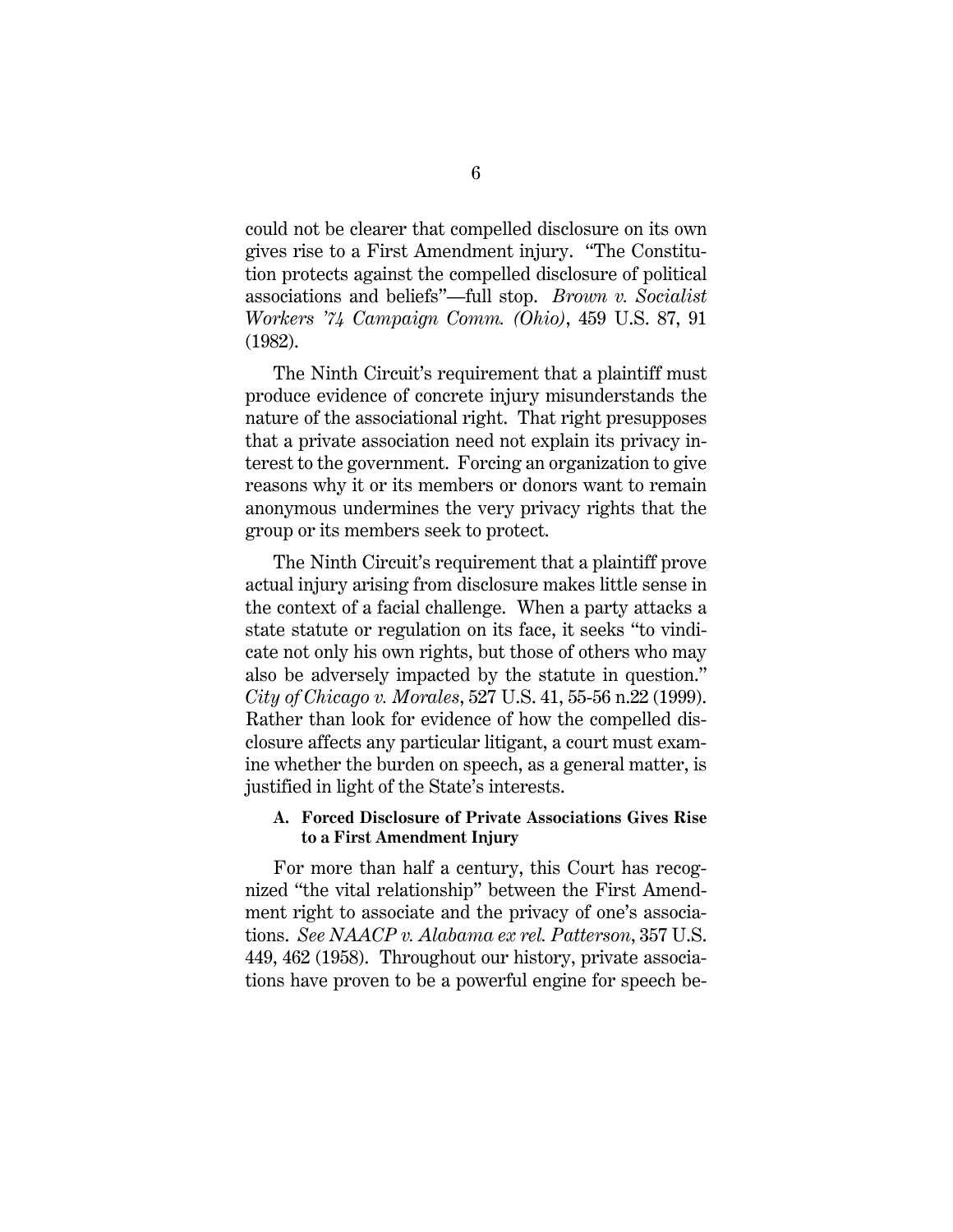<span id="page-10-1"></span>could not be clearer that compelled disclosure on its own gives rise to a First Amendment injury. "The Constitution protects against the compelled disclosure of political associations and beliefs"—full stop. *Brown v. Socialist Workers '74 Campaign Comm. (Ohio)*, 459 U.S. 87, 91 (1982).

The Ninth Circuit's requirement that a plaintiff must produce evidence of concrete injury misunderstands the nature of the associational right. That right presupposes that a private association need not explain its privacy interest to the government. Forcing an organization to give reasons why it or its members or donors want to remain anonymous undermines the very privacy rights that the group or its members seek to protect.

The Ninth Circuit's requirement that a plaintiff prove actual injury arising from disclosure makes little sense in the context of a facial challenge. When a party attacks a state statute or regulation on its face, it seeks "to vindicate not only his own rights, but those of others who may also be adversely impacted by the statute in question." *City of Chicago v. Morales*, 527 U.S. 41, 55-56 n.22 (1999). Rather than look for evidence of how the compelled disclosure affects any particular litigant, a court must examine whether the burden on speech, as a general matter, is justified in light of the State's interests.

# <span id="page-10-2"></span><span id="page-10-0"></span>**A. Forced Disclosure of Private Associations Gives Rise to a First Amendment Injury**

For more than half a century, this Court has recognized "the vital relationship" between the First Amendment right to associate and the privacy of one's associations. *See NAACP v. Alabama ex rel. Patterson*, 357 U.S. 449, 462 (1958). Throughout our history, private associations have proven to be a powerful engine for speech be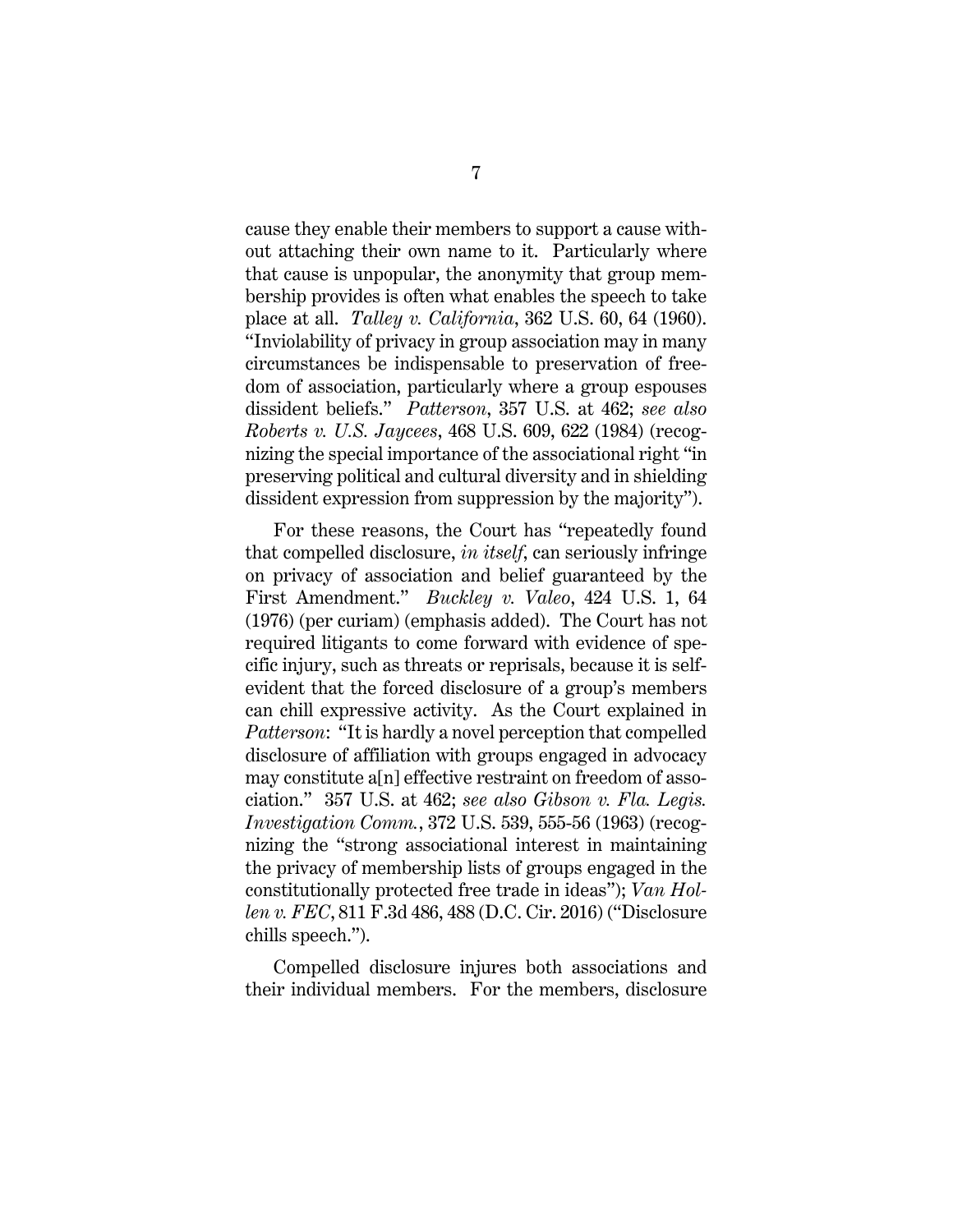<span id="page-11-3"></span>cause they enable their members to support a cause without attaching their own name to it. Particularly where that cause is unpopular, the anonymity that group membership provides is often what enables the speech to take place at all. *Talley v. California*, 362 U.S. 60, 64 (1960). "Inviolability of privacy in group association may in many circumstances be indispensable to preservation of freedom of association, particularly where a group espouses dissident beliefs." *Patterson*, 357 U.S. at 462; *see also Roberts v. U.S. Jaycees*, 468 U.S. 609, 622 (1984) (recognizing the special importance of the associational right "in preserving political and cultural diversity and in shielding dissident expression from suppression by the majority").

<span id="page-11-2"></span><span id="page-11-0"></span>For these reasons, the Court has "repeatedly found that compelled disclosure, *in itself*, can seriously infringe on privacy of association and belief guaranteed by the First Amendment." *Buckley v. Valeo*, 424 U.S. 1, 64 (1976) (per curiam) (emphasis added). The Court has not required litigants to come forward with evidence of specific injury, such as threats or reprisals, because it is selfevident that the forced disclosure of a group's members can chill expressive activity. As the Court explained in *Patterson*: "It is hardly a novel perception that compelled disclosure of affiliation with groups engaged in advocacy may constitute a[n] effective restraint on freedom of association." 357 U.S. at 462; *see also Gibson v. Fla. Legis. Investigation Comm.*, 372 U.S. 539, 555-56 (1963) (recognizing the "strong associational interest in maintaining the privacy of membership lists of groups engaged in the constitutionally protected free trade in ideas"); *Van Hollen v. FEC*, 811 F.3d 486, 488 (D.C. Cir. 2016) ("Disclosure chills speech.").

<span id="page-11-4"></span><span id="page-11-1"></span>Compelled disclosure injures both associations and their individual members. For the members, disclosure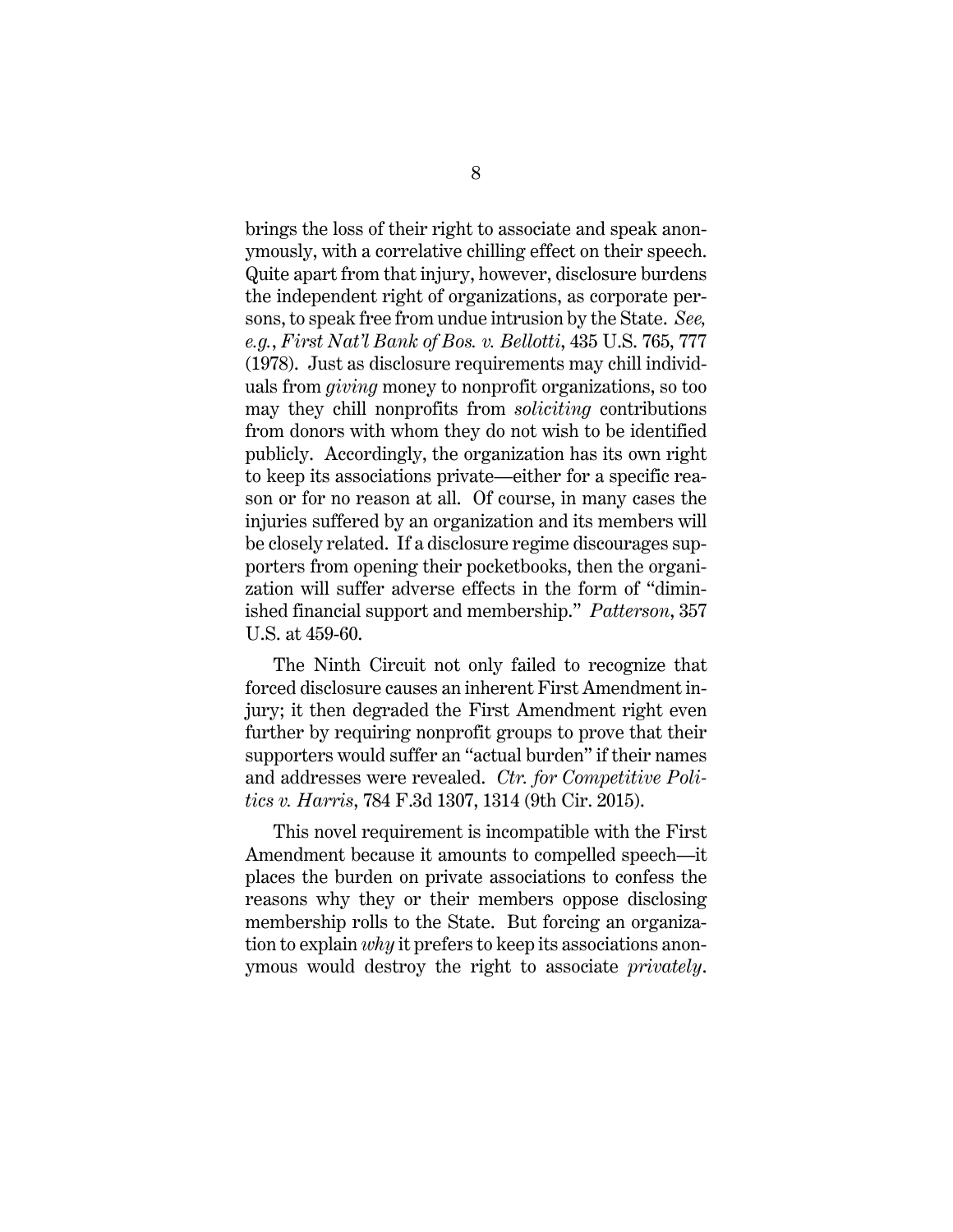<span id="page-12-0"></span>brings the loss of their right to associate and speak anonymously, with a correlative chilling effect on their speech. Quite apart from that injury, however, disclosure burdens the independent right of organizations, as corporate persons, to speak free from undue intrusion by the State. *See, e.g.*, *First Nat'l Bank of Bos. v. Bellotti*, 435 U.S. 765, 777 (1978). Just as disclosure requirements may chill individuals from *giving* money to nonprofit organizations, so too may they chill nonprofits from *soliciting* contributions from donors with whom they do not wish to be identified publicly. Accordingly, the organization has its own right to keep its associations private—either for a specific reason or for no reason at all. Of course, in many cases the injuries suffered by an organization and its members will be closely related. If a disclosure regime discourages supporters from opening their pocketbooks, then the organization will suffer adverse effects in the form of "diminished financial support and membership." *Patterson*, 357 U.S. at 459-60.

The Ninth Circuit not only failed to recognize that forced disclosure causes an inherent First Amendment injury; it then degraded the First Amendment right even further by requiring nonprofit groups to prove that their supporters would suffer an "actual burden" if their names and addresses were revealed. *Ctr. for Competitive Politics v. Harris*, 784 F.3d 1307, 1314 (9th Cir. 2015).

This novel requirement is incompatible with the First Amendment because it amounts to compelled speech—it places the burden on private associations to confess the reasons why they or their members oppose disclosing membership rolls to the State. But forcing an organization to explain *why* it prefers to keep its associations anonymous would destroy the right to associate *privately*.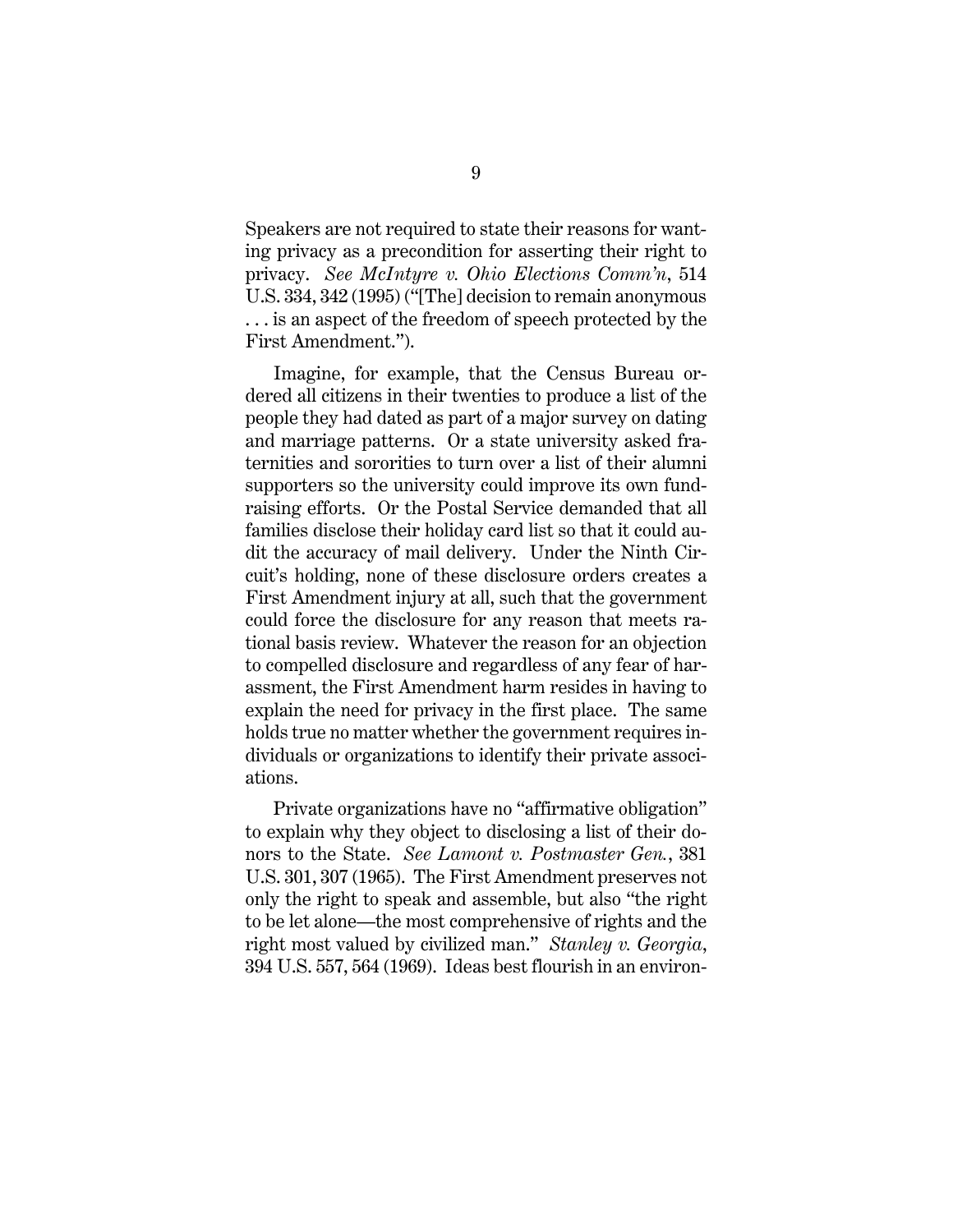<span id="page-13-1"></span>Speakers are not required to state their reasons for wanting privacy as a precondition for asserting their right to privacy. *See McIntyre v. Ohio Elections Comm'n*, 514 U.S. 334, 342 (1995) ("[The] decision to remain anonymous . . . is an aspect of the freedom of speech protected by the First Amendment.").

Imagine, for example, that the Census Bureau ordered all citizens in their twenties to produce a list of the people they had dated as part of a major survey on dating and marriage patterns. Or a state university asked fraternities and sororities to turn over a list of their alumni supporters so the university could improve its own fundraising efforts. Or the Postal Service demanded that all families disclose their holiday card list so that it could audit the accuracy of mail delivery. Under the Ninth Circuit's holding, none of these disclosure orders creates a First Amendment injury at all, such that the government could force the disclosure for any reason that meets rational basis review. Whatever the reason for an objection to compelled disclosure and regardless of any fear of harassment, the First Amendment harm resides in having to explain the need for privacy in the first place. The same holds true no matter whether the government requires individuals or organizations to identify their private associations.

<span id="page-13-2"></span><span id="page-13-0"></span>Private organizations have no "affirmative obligation" to explain why they object to disclosing a list of their donors to the State. *See Lamont v. Postmaster Gen.*, 381 U.S. 301, 307 (1965).The First Amendment preserves not only the right to speak and assemble, but also "the right to be let alone—the most comprehensive of rights and the right most valued by civilized man." *Stanley v. Georgia*, 394 U.S. 557, 564 (1969). Ideas best flourish in an environ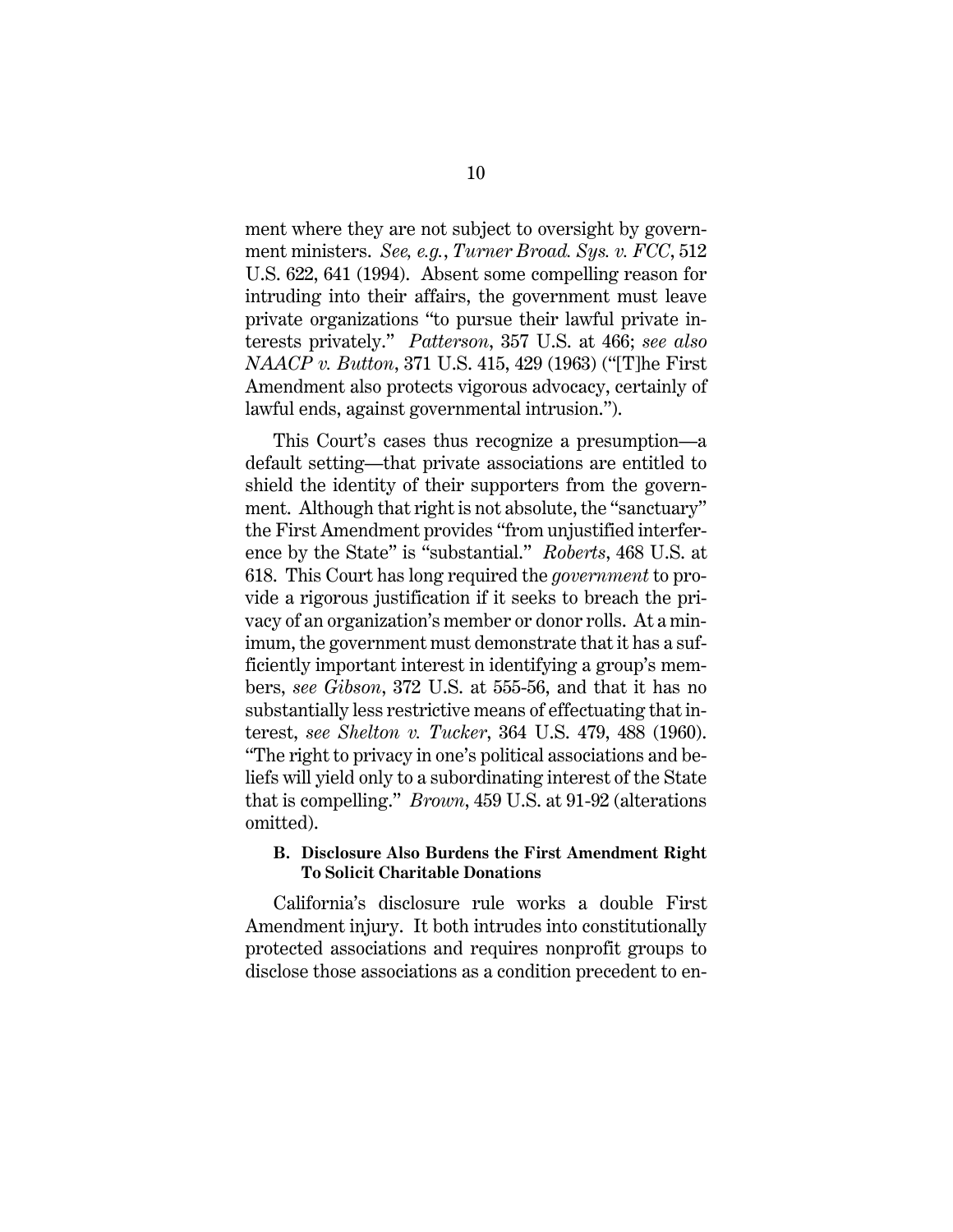<span id="page-14-6"></span>ment where they are not subject to oversight by government ministers. *See, e.g.*, *Turner Broad. Sys. v. FCC*, 512 U.S. 622, 641 (1994). Absent some compelling reason for intruding into their affairs, the government must leave private organizations "to pursue their lawful private interests privately." *Patterson*, 357 U.S. at 466; *see also NAACP v. Button*, 371 U.S. 415, 429 (1963) ("[T]he First Amendment also protects vigorous advocacy, certainly of lawful ends, against governmental intrusion.").

<span id="page-14-4"></span><span id="page-14-3"></span>This Court's cases thus recognize a presumption—a default setting—that private associations are entitled to shield the identity of their supporters from the government. Although that right is not absolute, the "sanctuary" the First Amendment provides "from unjustified interference by the State" is "substantial." *Roberts*, 468 U.S. at 618. This Court has long required the *government* to provide a rigorous justification if it seeks to breach the privacy of an organization's member or donor rolls. At a minimum, the government must demonstrate that it has a sufficiently important interest in identifying a group's members, *see Gibson*, 372 U.S. at 555-56, and that it has no substantially less restrictive means of effectuating that interest, *see Shelton v. Tucker*, 364 U.S. 479, 488 (1960). "The right to privacy in one's political associations and beliefs will yield only to a subordinating interest of the State that is compelling." *Brown*, 459 U.S. at 91-92 (alterations omitted).

## <span id="page-14-5"></span><span id="page-14-2"></span><span id="page-14-1"></span><span id="page-14-0"></span>**B. Disclosure Also Burdens the First Amendment Right To Solicit Charitable Donations**

California's disclosure rule works a double First Amendment injury. It both intrudes into constitutionally protected associations and requires nonprofit groups to disclose those associations as a condition precedent to en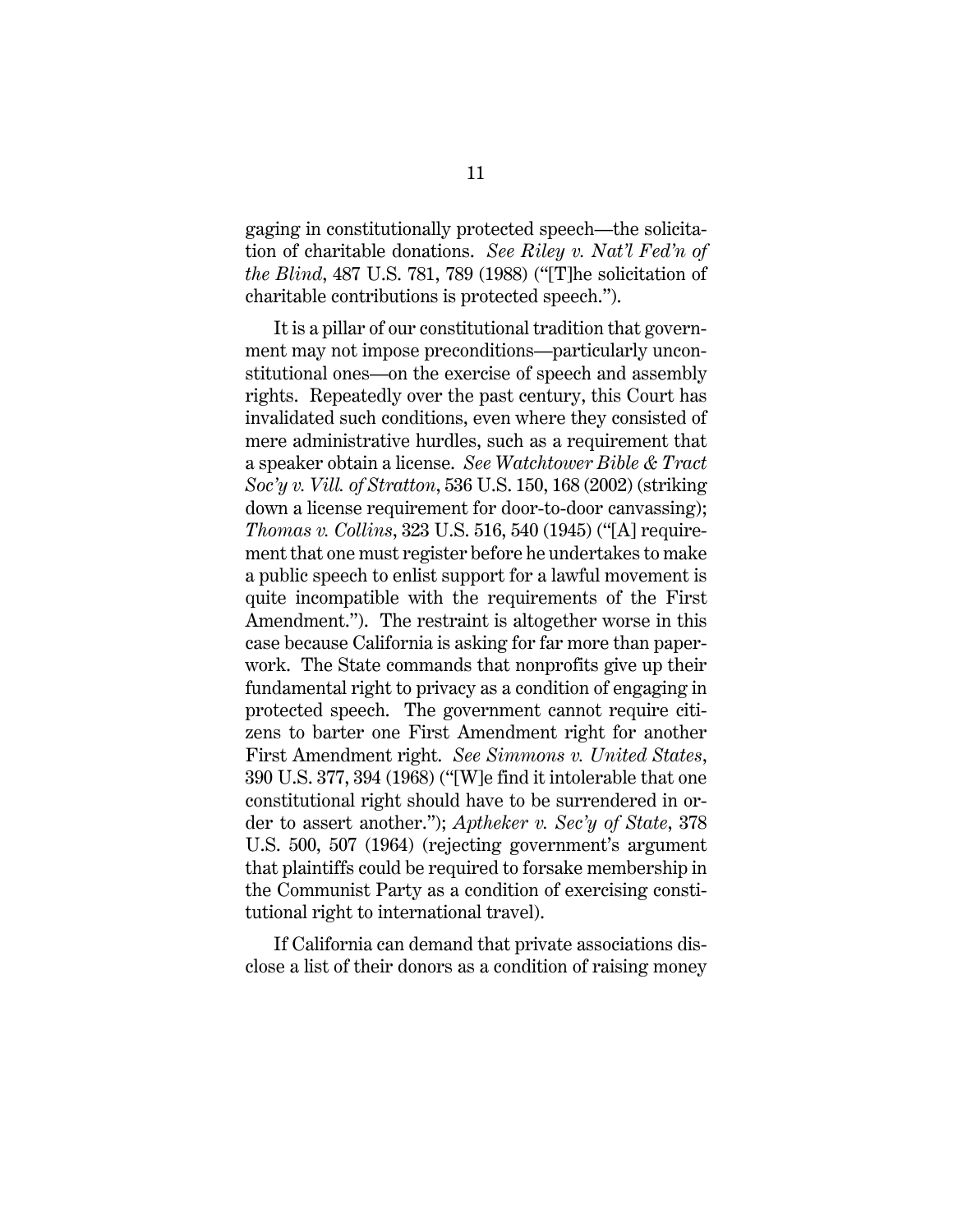<span id="page-15-1"></span>gaging in constitutionally protected speech—the solicitation of charitable donations. *See Riley v. Nat'l Fed'n of the Blind*, 487 U.S. 781, 789 (1988) ("[T]he solicitation of charitable contributions is protected speech.").

<span id="page-15-3"></span><span id="page-15-2"></span>It is a pillar of our constitutional tradition that government may not impose preconditions—particularly unconstitutional ones—on the exercise of speech and assembly rights. Repeatedly over the past century, this Court has invalidated such conditions, even where they consisted of mere administrative hurdles, such as a requirement that a speaker obtain a license. *See Watchtower Bible & Tract Soc'y v. Vill. of Stratton*, 536 U.S. 150, 168 (2002) (striking down a license requirement for door-to-door canvassing); *Thomas v. Collins*, 323 U.S. 516, 540 (1945) ("[A] requirement that one must register before he undertakes to make a public speech to enlist support for a lawful movement is quite incompatible with the requirements of the First Amendment."). The restraint is altogether worse in this case because California is asking for far more than paperwork. The State commands that nonprofits give up their fundamental right to privacy as a condition of engaging in protected speech. The government cannot require citizens to barter one First Amendment right for another First Amendment right. *See Simmons v. United States*, 390 U.S. 377, 394 (1968) ("[W]e find it intolerable that one constitutional right should have to be surrendered in order to assert another."); *Aptheker v. Sec'y of State*, 378 U.S. 500, 507 (1964) (rejecting government's argument that plaintiffs could be required to forsake membership in the Communist Party as a condition of exercising constitutional right to international travel).

<span id="page-15-0"></span>If California can demand that private associations disclose a list of their donors as a condition of raising money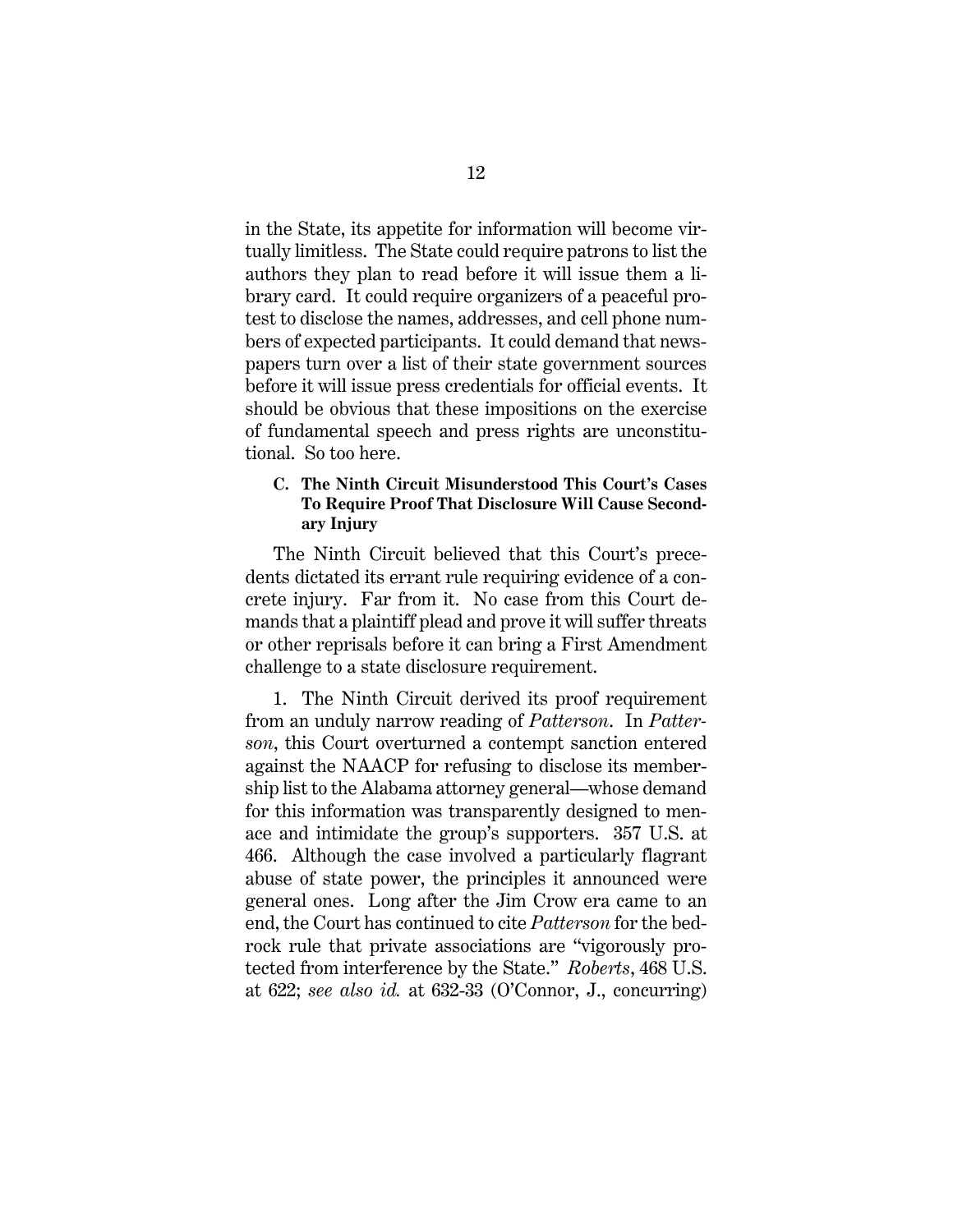in the State, its appetite for information will become virtually limitless. The State could require patrons to list the authors they plan to read before it will issue them a library card. It could require organizers of a peaceful protest to disclose the names, addresses, and cell phone numbers of expected participants. It could demand that newspapers turn over a list of their state government sources before it will issue press credentials for official events. It should be obvious that these impositions on the exercise of fundamental speech and press rights are unconstitutional. So too here.

# <span id="page-16-0"></span>**C. The Ninth Circuit Misunderstood This Court's Cases To Require Proof That Disclosure Will Cause Secondary Injury**

The Ninth Circuit believed that this Court's precedents dictated its errant rule requiring evidence of a concrete injury. Far from it. No case from this Court demands that a plaintiff plead and prove it will suffer threats or other reprisals before it can bring a First Amendment challenge to a state disclosure requirement.

<span id="page-16-1"></span>1. The Ninth Circuit derived its proof requirement from an unduly narrow reading of *Patterson*. In *Patterson*, this Court overturned a contempt sanction entered against the NAACP for refusing to disclose its membership list to the Alabama attorney general—whose demand for this information was transparently designed to menace and intimidate the group's supporters. 357 U.S. at 466. Although the case involved a particularly flagrant abuse of state power, the principles it announced were general ones. Long after the Jim Crow era came to an end, the Court has continued to cite *Patterson* for the bedrock rule that private associations are "vigorously protected from interference by the State." *Roberts*, 468 U.S. at 622; *see also id.* at 632-33 (O'Connor, J., concurring)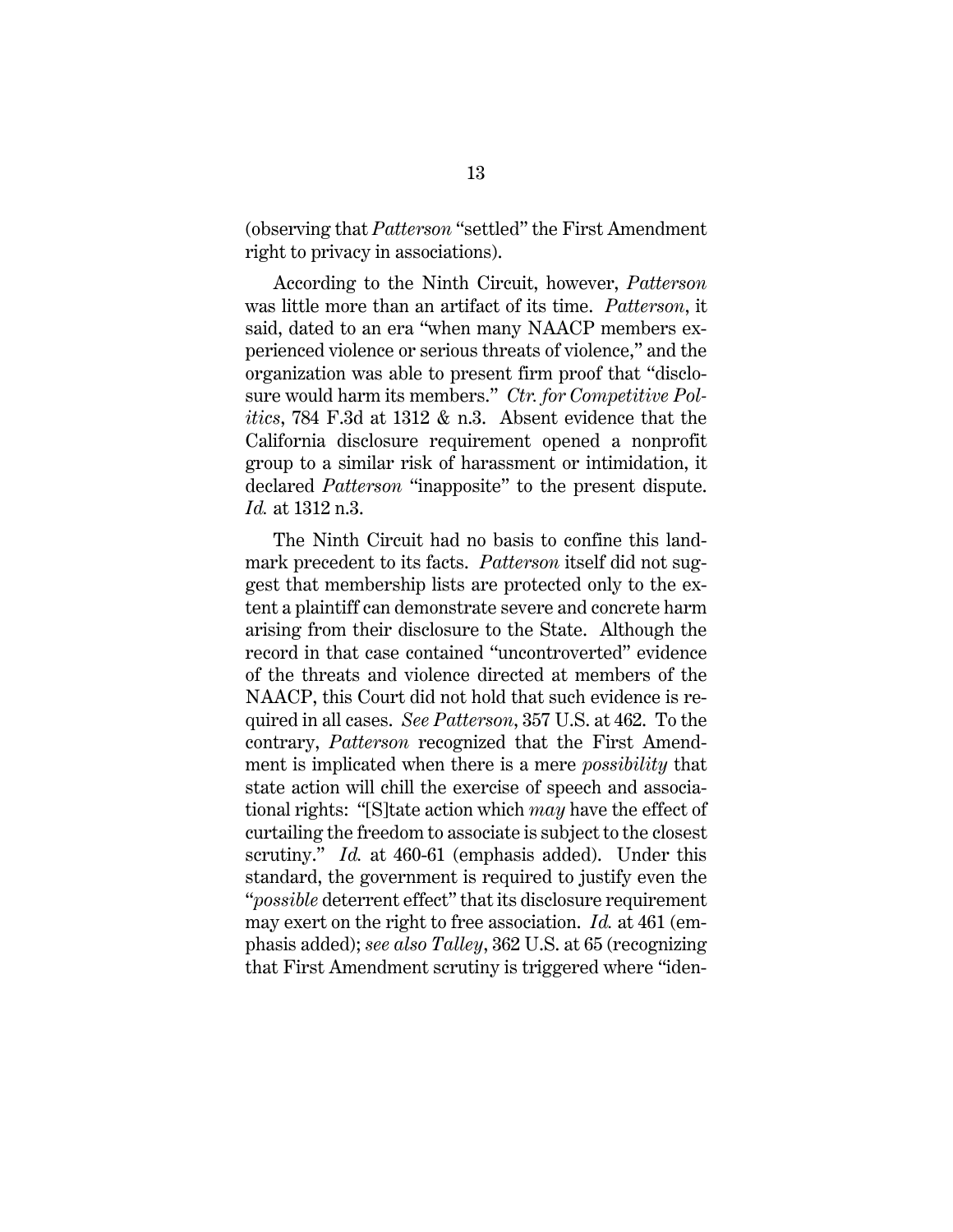(observing that *Patterson* "settled" the First Amendment right to privacy in associations).

According to the Ninth Circuit, however, *Patterson* was little more than an artifact of its time. *Patterson*, it said, dated to an era "when many NAACP members experienced violence or serious threats of violence," and the organization was able to present firm proof that "disclosure would harm its members." *Ctr. for Competitive Politics*, 784 F.3d at 1312 & n.3. Absent evidence that the California disclosure requirement opened a nonprofit group to a similar risk of harassment or intimidation, it declared *Patterson* "inapposite" to the present dispute. *Id.* at 1312 n.3.

<span id="page-17-0"></span>The Ninth Circuit had no basis to confine this landmark precedent to its facts. *Patterson* itself did not suggest that membership lists are protected only to the extent a plaintiff can demonstrate severe and concrete harm arising from their disclosure to the State. Although the record in that case contained "uncontroverted" evidence of the threats and violence directed at members of the NAACP, this Court did not hold that such evidence is required in all cases. *See Patterson*, 357 U.S. at 462. To the contrary, *Patterson* recognized that the First Amendment is implicated when there is a mere *possibility* that state action will chill the exercise of speech and associational rights: "[S]tate action which *may* have the effect of curtailing the freedom to associate is subject to the closest scrutiny." *Id.* at 460-61 (emphasis added). Under this standard, the government is required to justify even the "*possible* deterrent effect" that its disclosure requirement may exert on the right to free association. *Id.* at 461 (emphasis added); *see also Talley*, 362 U.S. at 65 (recognizing that First Amendment scrutiny is triggered where "iden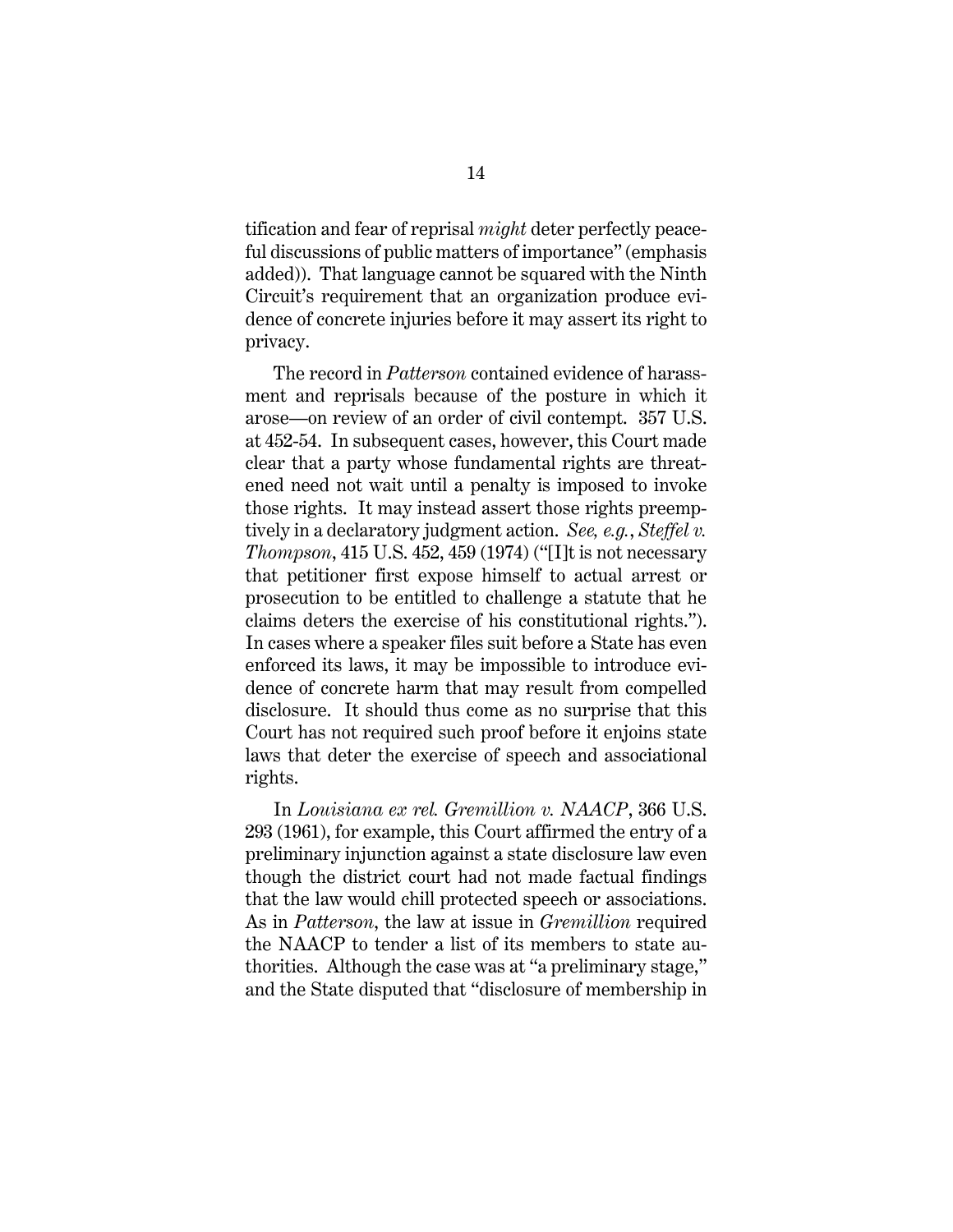tification and fear of reprisal *might* deter perfectly peaceful discussions of public matters of importance" (emphasis added)). That language cannot be squared with the Ninth Circuit's requirement that an organization produce evidence of concrete injuries before it may assert its right to privacy.

<span id="page-18-1"></span>The record in *Patterson* contained evidence of harassment and reprisals because of the posture in which it arose—on review of an order of civil contempt. 357 U.S. at 452-54. In subsequent cases, however, this Court made clear that a party whose fundamental rights are threatened need not wait until a penalty is imposed to invoke those rights. It may instead assert those rights preemptively in a declaratory judgment action. *See, e.g.*, *Steffel v. Thompson*, 415 U.S. 452, 459 (1974) ("[I]t is not necessary that petitioner first expose himself to actual arrest or prosecution to be entitled to challenge a statute that he claims deters the exercise of his constitutional rights."). In cases where a speaker files suit before a State has even enforced its laws, it may be impossible to introduce evidence of concrete harm that may result from compelled disclosure. It should thus come as no surprise that this Court has not required such proof before it enjoins state laws that deter the exercise of speech and associational rights.

<span id="page-18-0"></span>In *Louisiana ex rel. Gremillion v. NAACP*, 366 U.S. 293 (1961), for example, this Court affirmed the entry of a preliminary injunction against a state disclosure law even though the district court had not made factual findings that the law would chill protected speech or associations. As in *Patterson*, the law at issue in *Gremillion* required the NAACP to tender a list of its members to state authorities. Although the case was at "a preliminary stage," and the State disputed that "disclosure of membership in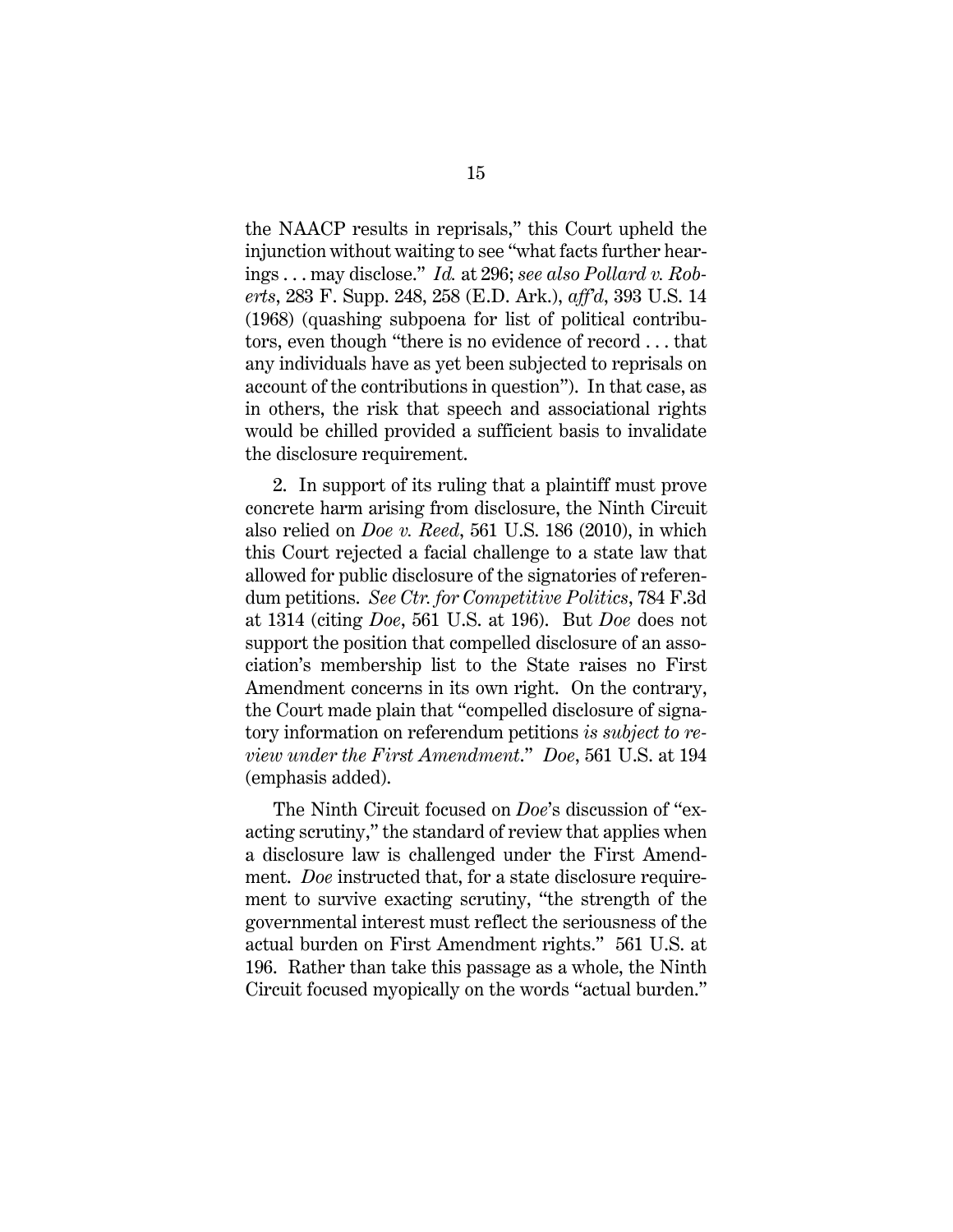<span id="page-19-1"></span>the NAACP results in reprisals," this Court upheld the injunction without waiting to see "what facts further hearings . . . may disclose." *Id.* at 296; *see also Pollard v. Roberts*, 283 F. Supp. 248, 258 (E.D. Ark.), *aff'd*, 393 U.S. 14 (1968) (quashing subpoena for list of political contributors, even though "there is no evidence of record . . . that any individuals have as yet been subjected to reprisals on account of the contributions in question"). In that case, as in others, the risk that speech and associational rights would be chilled provided a sufficient basis to invalidate the disclosure requirement.

<span id="page-19-0"></span>2. In support of its ruling that a plaintiff must prove concrete harm arising from disclosure, the Ninth Circuit also relied on *Doe v. Reed*, 561 U.S. 186 (2010), in which this Court rejected a facial challenge to a state law that allowed for public disclosure of the signatories of referendum petitions. *See Ctr. for Competitive Politics*, 784 F.3d at 1314 (citing *Doe*, 561 U.S. at 196). But *Doe* does not support the position that compelled disclosure of an association's membership list to the State raises no First Amendment concerns in its own right. On the contrary, the Court made plain that "compelled disclosure of signatory information on referendum petitions *is subject to review under the First Amendment*." *Doe*, 561 U.S. at 194 (emphasis added).

The Ninth Circuit focused on *Doe*'s discussion of "exacting scrutiny," the standard of review that applies when a disclosure law is challenged under the First Amendment. *Doe* instructed that, for a state disclosure requirement to survive exacting scrutiny, "the strength of the governmental interest must reflect the seriousness of the actual burden on First Amendment rights." 561 U.S. at 196. Rather than take this passage as a whole, the Ninth Circuit focused myopically on the words "actual burden."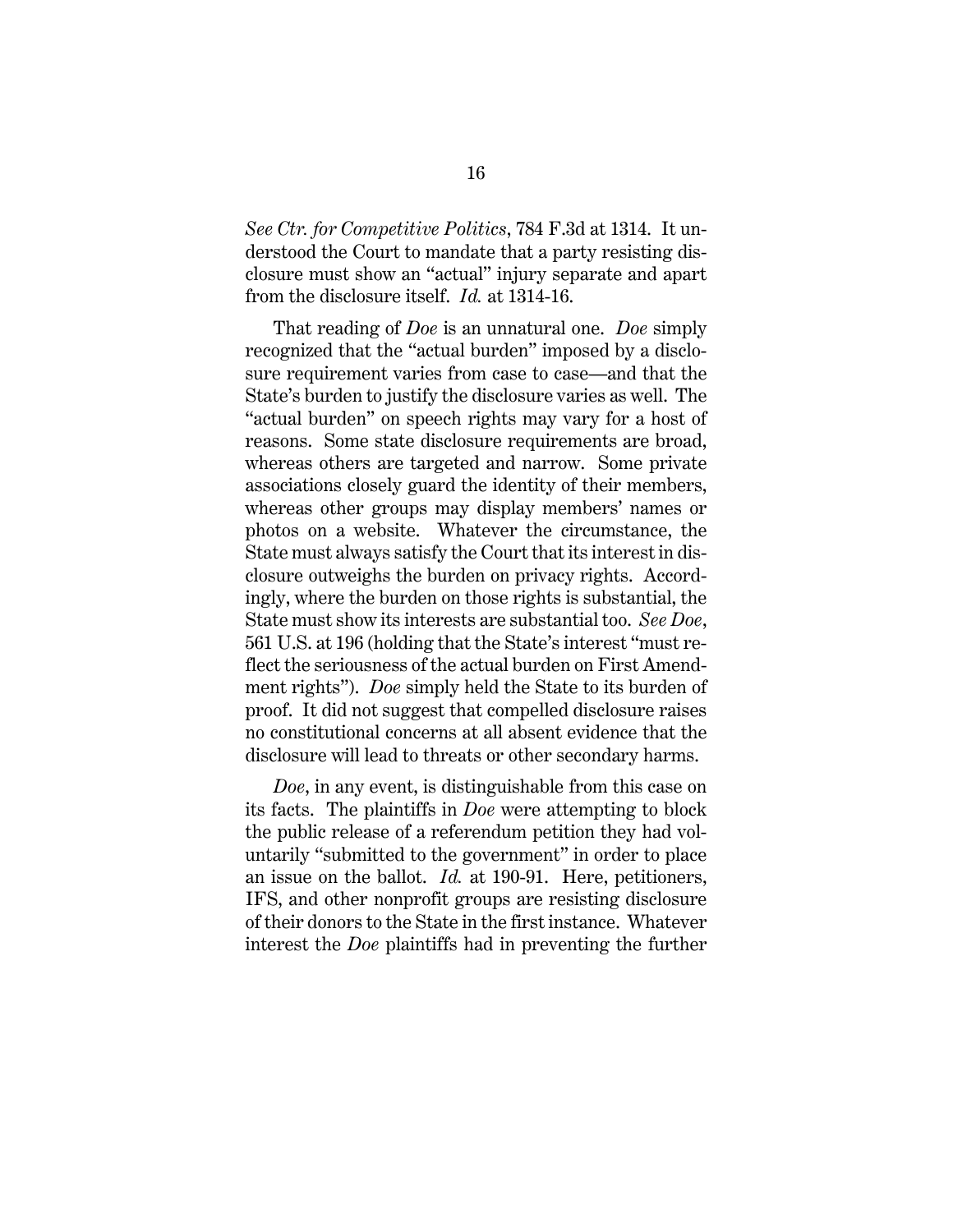*See Ctr. for Competitive Politics*, 784 F.3d at 1314. It understood the Court to mandate that a party resisting disclosure must show an "actual" injury separate and apart from the disclosure itself. *Id.* at 1314-16.

That reading of *Doe* is an unnatural one. *Doe* simply recognized that the "actual burden" imposed by a disclosure requirement varies from case to case—and that the State's burden to justify the disclosure varies as well. The "actual burden" on speech rights may vary for a host of reasons. Some state disclosure requirements are broad, whereas others are targeted and narrow. Some private associations closely guard the identity of their members, whereas other groups may display members' names or photos on a website. Whatever the circumstance, the State must always satisfy the Court that its interest in disclosure outweighs the burden on privacy rights. Accordingly, where the burden on those rights is substantial, the State must show its interests are substantial too. *See Doe*, 561 U.S. at 196 (holding that the State's interest "must reflect the seriousness of the actual burden on First Amendment rights"). *Doe* simply held the State to its burden of proof. It did not suggest that compelled disclosure raises no constitutional concerns at all absent evidence that the disclosure will lead to threats or other secondary harms.

<span id="page-20-0"></span>*Doe*, in any event, is distinguishable from this case on its facts. The plaintiffs in *Doe* were attempting to block the public release of a referendum petition they had voluntarily "submitted to the government" in order to place an issue on the ballot. *Id.* at 190-91.Here, petitioners, IFS, and other nonprofit groups are resisting disclosure of their donors to the State in the first instance. Whatever interest the *Doe* plaintiffs had in preventing the further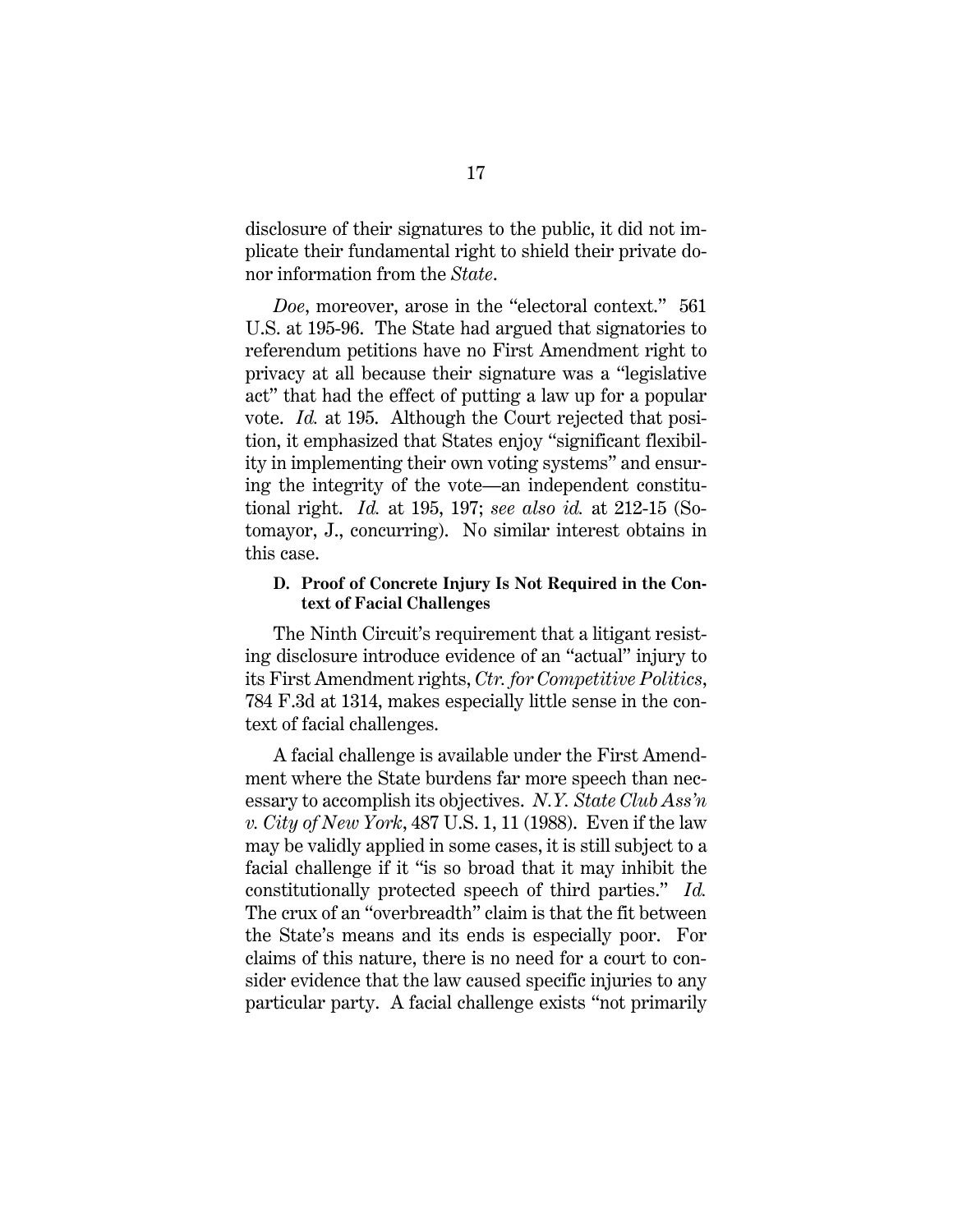disclosure of their signatures to the public, it did not implicate their fundamental right to shield their private donor information from the *State*.

*Doe*, moreover, arose in the "electoral context." 561 U.S. at 195-96. The State had argued that signatories to referendum petitions have no First Amendment right to privacy at all because their signature was a "legislative act" that had the effect of putting a law up for a popular vote. *Id.* at 195. Although the Court rejected that position, it emphasized that States enjoy "significant flexibility in implementing their own voting systems" and ensuring the integrity of the vote—an independent constitutional right. *Id.* at 195, 197; *see also id.* at 212-15 (Sotomayor, J., concurring). No similar interest obtains in this case.

# <span id="page-21-1"></span><span id="page-21-0"></span>**D. Proof of Concrete Injury Is Not Required in the Context of Facial Challenges**

The Ninth Circuit's requirement that a litigant resisting disclosure introduce evidence of an "actual" injury to its First Amendment rights, *Ctr. for Competitive Politics*, 784 F.3d at 1314, makes especially little sense in the context of facial challenges.

<span id="page-21-2"></span>A facial challenge is available under the First Amendment where the State burdens far more speech than necessary to accomplish its objectives. *N.Y. State Club Ass'n v. City of New York*, 487 U.S. 1, 11 (1988). Even if the law may be validly applied in some cases, it is still subject to a facial challenge if it "is so broad that it may inhibit the constitutionally protected speech of third parties." *Id.*  The crux of an "overbreadth" claim is that the fit between the State's means and its ends is especially poor. For claims of this nature, there is no need for a court to consider evidence that the law caused specific injuries to any particular party. A facial challenge exists "not primarily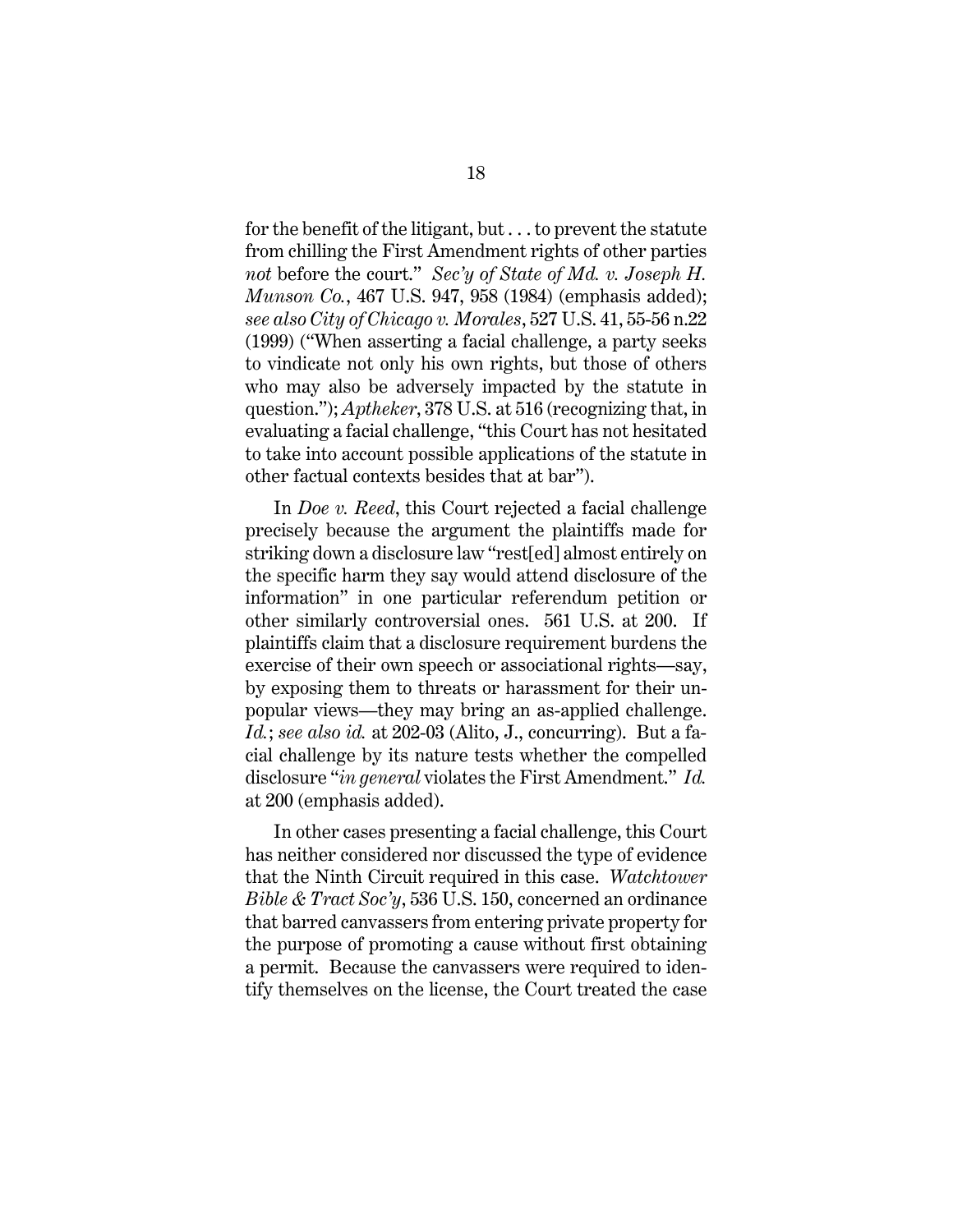<span id="page-22-3"></span><span id="page-22-1"></span>for the benefit of the litigant, but . . . to prevent the statute from chilling the First Amendment rights of other parties *not* before the court." *Sec'y of State of Md. v. Joseph H. Munson Co.*, 467 U.S. 947, 958 (1984) (emphasis added); *see also City of Chicago v. Morales*, 527 U.S. 41, 55-56 n.22 (1999) ("When asserting a facial challenge, a party seeks to vindicate not only his own rights, but those of others who may also be adversely impacted by the statute in question."); *Aptheker*, 378 U.S. at 516 (recognizing that, in evaluating a facial challenge, "this Court has not hesitated to take into account possible applications of the statute in other factual contexts besides that at bar").

<span id="page-22-2"></span><span id="page-22-0"></span>In *Doe v. Reed*, this Court rejected a facial challenge precisely because the argument the plaintiffs made for striking down a disclosure law "rest[ed] almost entirely on the specific harm they say would attend disclosure of the information" in one particular referendum petition or other similarly controversial ones. 561 U.S. at 200. If plaintiffs claim that a disclosure requirement burdens the exercise of their own speech or associational rights—say, by exposing them to threats or harassment for their unpopular views—they may bring an as-applied challenge. *Id.*; *see also id.* at 202-03 (Alito, J., concurring). But a facial challenge by its nature tests whether the compelled disclosure "*in general* violates the First Amendment." *Id.* at 200 (emphasis added).

<span id="page-22-4"></span>In other cases presenting a facial challenge, this Court has neither considered nor discussed the type of evidence that the Ninth Circuit required in this case. *Watchtower Bible & Tract Soc'y*, 536 U.S. 150, concerned an ordinance that barred canvassers from entering private property for the purpose of promoting a cause without first obtaining a permit. Because the canvassers were required to identify themselves on the license, the Court treated the case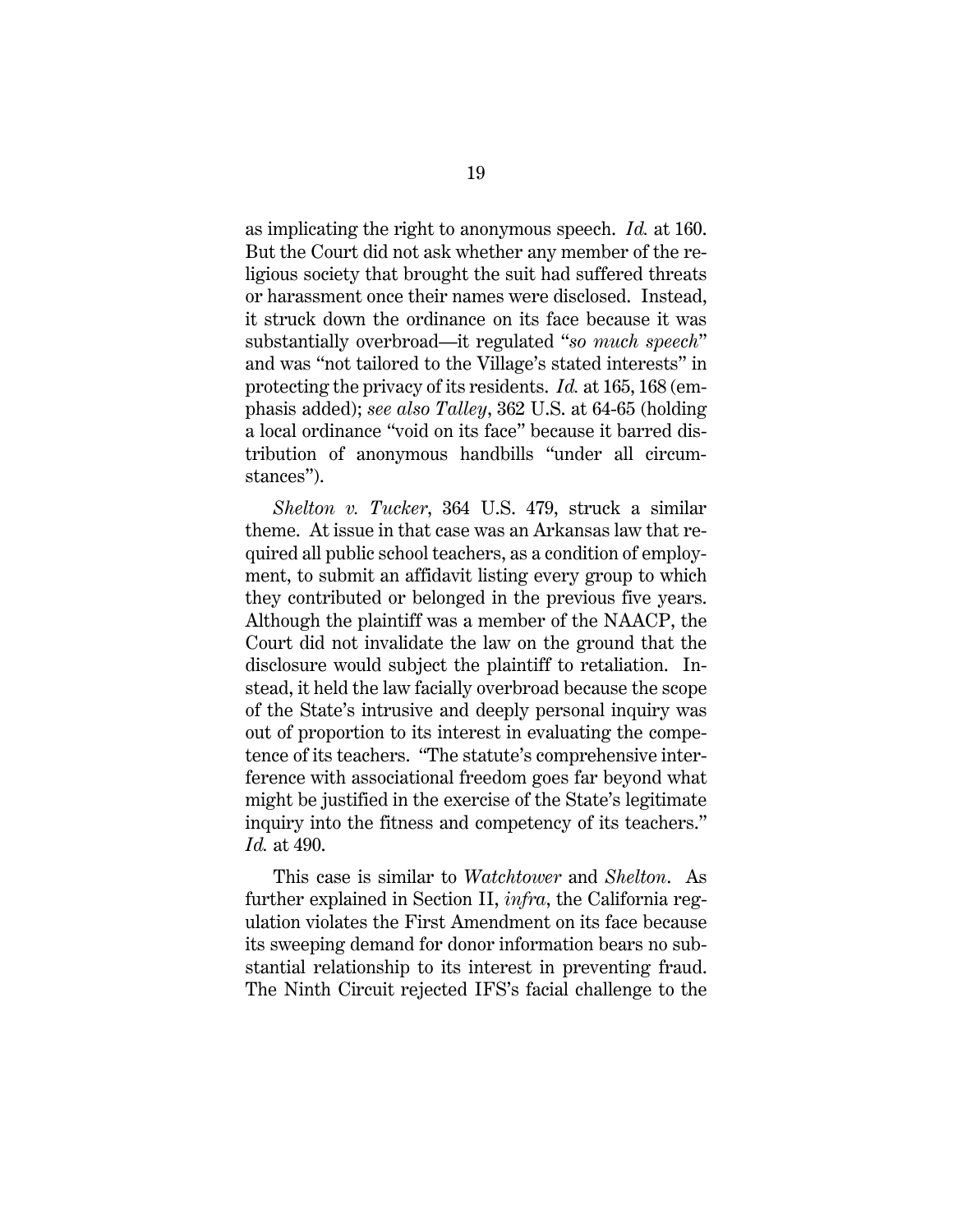as implicating the right to anonymous speech. *Id.* at 160. But the Court did not ask whether any member of the religious society that brought the suit had suffered threats or harassment once their names were disclosed. Instead, it struck down the ordinance on its face because it was substantially overbroad—it regulated "*so much speech*" and was "not tailored to the Village's stated interests" in protecting the privacy of its residents. *Id.* at 165, 168 (emphasis added); *see also Talley*, 362 U.S. at 64-65 (holding a local ordinance "void on its face" because it barred distribution of anonymous handbills "under all circumstances").

<span id="page-23-2"></span><span id="page-23-1"></span><span id="page-23-0"></span>*Shelton v. Tucker*, 364 U.S. 479, struck a similar theme. At issue in that case was an Arkansas law that required all public school teachers, as a condition of employment, to submit an affidavit listing every group to which they contributed or belonged in the previous five years. Although the plaintiff was a member of the NAACP, the Court did not invalidate the law on the ground that the disclosure would subject the plaintiff to retaliation. Instead, it held the law facially overbroad because the scope of the State's intrusive and deeply personal inquiry was out of proportion to its interest in evaluating the competence of its teachers. "The statute's comprehensive interference with associational freedom goes far beyond what might be justified in the exercise of the State's legitimate inquiry into the fitness and competency of its teachers." *Id.* at 490.

This case is similar to *Watchtower* and *Shelton*. As further explained in Section II, *infra*, the California regulation violates the First Amendment on its face because its sweeping demand for donor information bears no substantial relationship to its interest in preventing fraud. The Ninth Circuit rejected IFS's facial challenge to the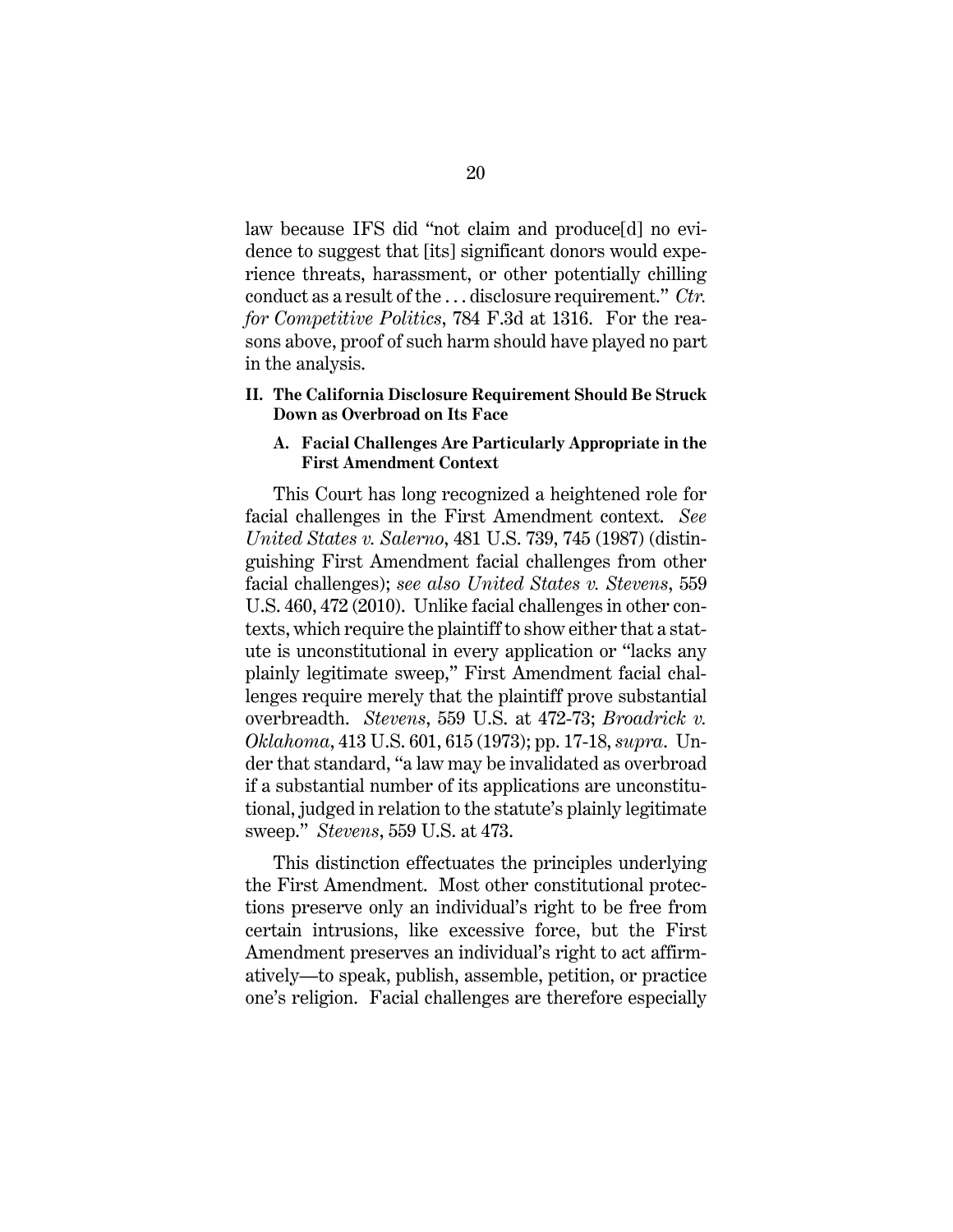law because IFS did "not claim and produce[d] no evidence to suggest that [its] significant donors would experience threats, harassment, or other potentially chilling conduct as a result of the . . . disclosure requirement." *Ctr. for Competitive Politics*, 784 F.3d at 1316. For the reasons above, proof of such harm should have played no part in the analysis.

# <span id="page-24-0"></span>**II. The California Disclosure Requirement Should Be Struck Down as Overbroad on Its Face**

## <span id="page-24-4"></span><span id="page-24-1"></span>**A. Facial Challenges Are Particularly Appropriate in the First Amendment Context**

<span id="page-24-3"></span>This Court has long recognized a heightened role for facial challenges in the First Amendment context. *See United States v. Salerno*, 481 U.S. 739, 745 (1987) (distinguishing First Amendment facial challenges from other facial challenges); *see also United States v. Stevens*, 559 U.S. 460, 472 (2010). Unlike facial challenges in other contexts, which require the plaintiff to show either that a statute is unconstitutional in every application or "lacks any plainly legitimate sweep," First Amendment facial challenges require merely that the plaintiff prove substantial overbreadth. *Stevens*, 559 U.S. at 472-73; *Broadrick v. Oklahoma*, 413 U.S. 601, 615 (1973); pp. 17-18, *supra*. Under that standard, "a law may be invalidated as overbroad if a substantial number of its applications are unconstitutional, judged in relation to the statute's plainly legitimate sweep." *Stevens*, 559 U.S. at 473.

<span id="page-24-2"></span>This distinction effectuates the principles underlying the First Amendment. Most other constitutional protections preserve only an individual's right to be free from certain intrusions, like excessive force, but the First Amendment preserves an individual's right to act affirmatively—to speak, publish, assemble, petition, or practice one's religion. Facial challenges are therefore especially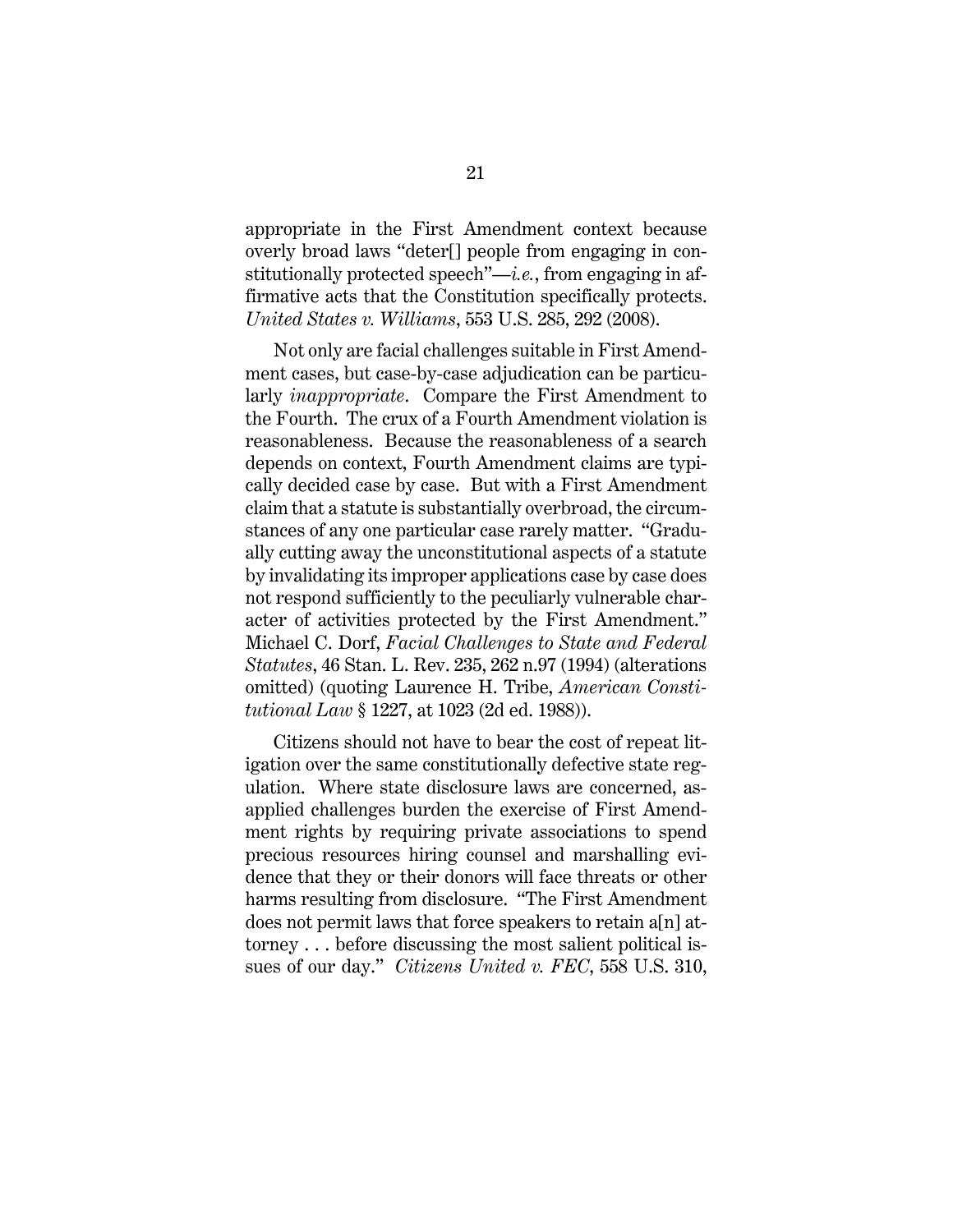appropriate in the First Amendment context because overly broad laws "deter[] people from engaging in constitutionally protected speech"—*i.e.*, from engaging in affirmative acts that the Constitution specifically protects. *United States v. Williams*, 553 U.S. 285, 292 (2008).

<span id="page-25-2"></span><span id="page-25-1"></span>Not only are facial challenges suitable in First Amendment cases, but case-by-case adjudication can be particularly *inappropriate*. Compare the First Amendment to the Fourth. The crux of a Fourth Amendment violation is reasonableness. Because the reasonableness of a search depends on context, Fourth Amendment claims are typically decided case by case. But with a First Amendment claim that a statute is substantially overbroad, the circumstances of any one particular case rarely matter. "Gradually cutting away the unconstitutional aspects of a statute by invalidating its improper applications case by case does not respond sufficiently to the peculiarly vulnerable character of activities protected by the First Amendment." Michael C. Dorf, *Facial Challenges to State and Federal Statutes*, 46 Stan. L. Rev. 235, 262 n.97 (1994) (alterations omitted) (quoting Laurence H. Tribe, *American Constitutional Law* § 1227, at 1023 (2d ed. 1988)).

<span id="page-25-3"></span><span id="page-25-0"></span>Citizens should not have to bear the cost of repeat litigation over the same constitutionally defective state regulation. Where state disclosure laws are concerned, asapplied challenges burden the exercise of First Amendment rights by requiring private associations to spend precious resources hiring counsel and marshalling evidence that they or their donors will face threats or other harms resulting from disclosure. "The First Amendment does not permit laws that force speakers to retain a[n] attorney . . . before discussing the most salient political issues of our day." *Citizens United v. FEC*, 558 U.S. 310,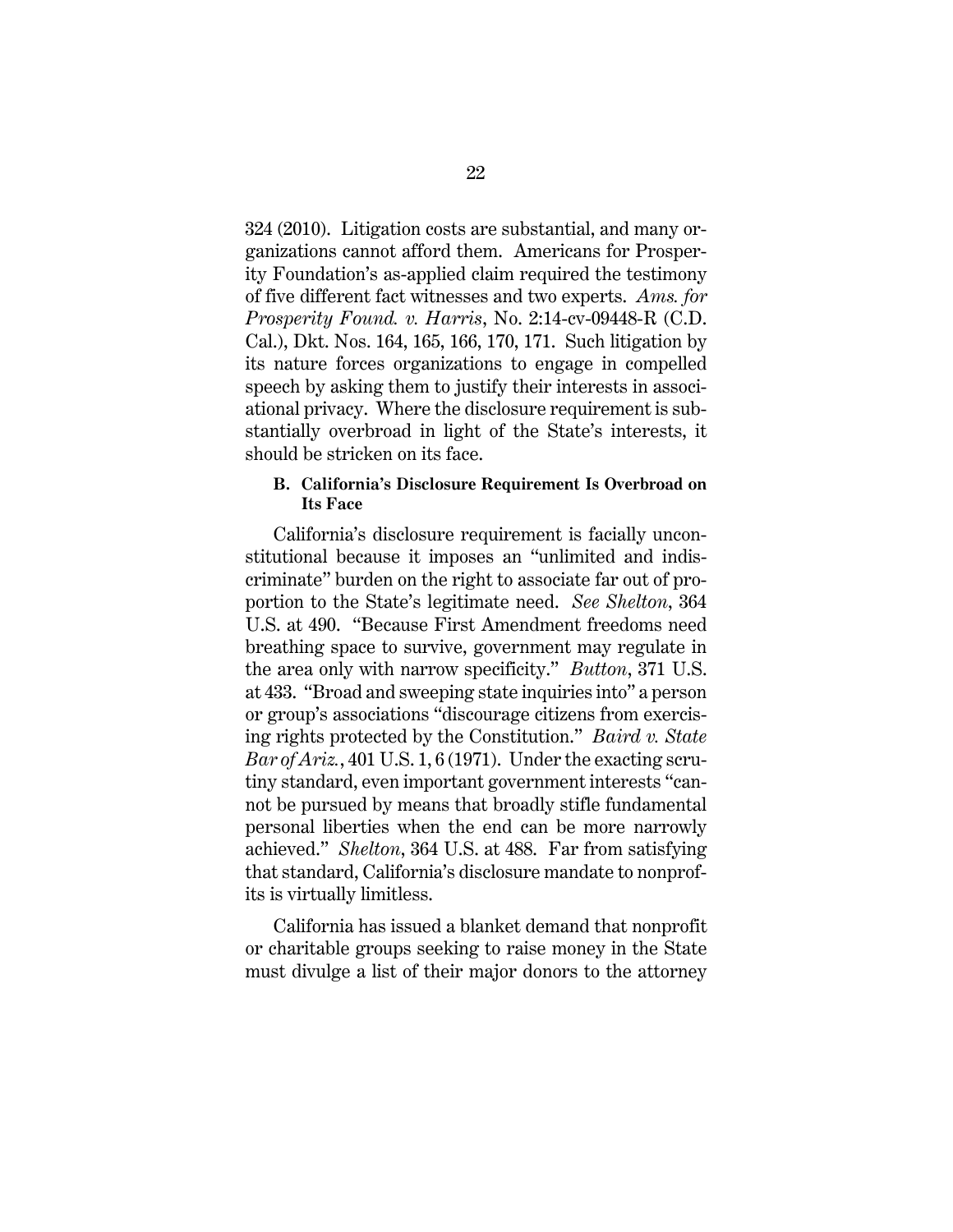324 (2010). Litigation costs are substantial, and many organizations cannot afford them. Americans for Prosperity Foundation's as-applied claim required the testimony of five different fact witnesses and two experts. *Ams. for Prosperity Found. v. Harris*, No. 2:14-cv-09448-R (C.D. Cal.), Dkt. Nos. 164, 165, 166, 170, 171. Such litigation by its nature forces organizations to engage in compelled speech by asking them to justify their interests in associational privacy. Where the disclosure requirement is substantially overbroad in light of the State's interests, it should be stricken on its face.

## <span id="page-26-3"></span><span id="page-26-2"></span><span id="page-26-0"></span>**B. California's Disclosure Requirement Is Overbroad on Its Face**

California's disclosure requirement is facially unconstitutional because it imposes an "unlimited and indiscriminate" burden on the right to associate far out of proportion to the State's legitimate need. *See Shelton*, 364 U.S. at 490. "Because First Amendment freedoms need breathing space to survive, government may regulate in the area only with narrow specificity." *Button*, 371 U.S. at 433. "Broad and sweeping state inquiries into" a person or group's associations "discourage citizens from exercising rights protected by the Constitution." *Baird v. State Bar of Ariz.*, 401 U.S. 1, 6 (1971). Under the exacting scrutiny standard, even important government interests "cannot be pursued by means that broadly stifle fundamental personal liberties when the end can be more narrowly achieved." *Shelton*, 364 U.S. at 488. Far from satisfying that standard, California's disclosure mandate to nonprofits is virtually limitless.

<span id="page-26-1"></span>California has issued a blanket demand that nonprofit or charitable groups seeking to raise money in the State must divulge a list of their major donors to the attorney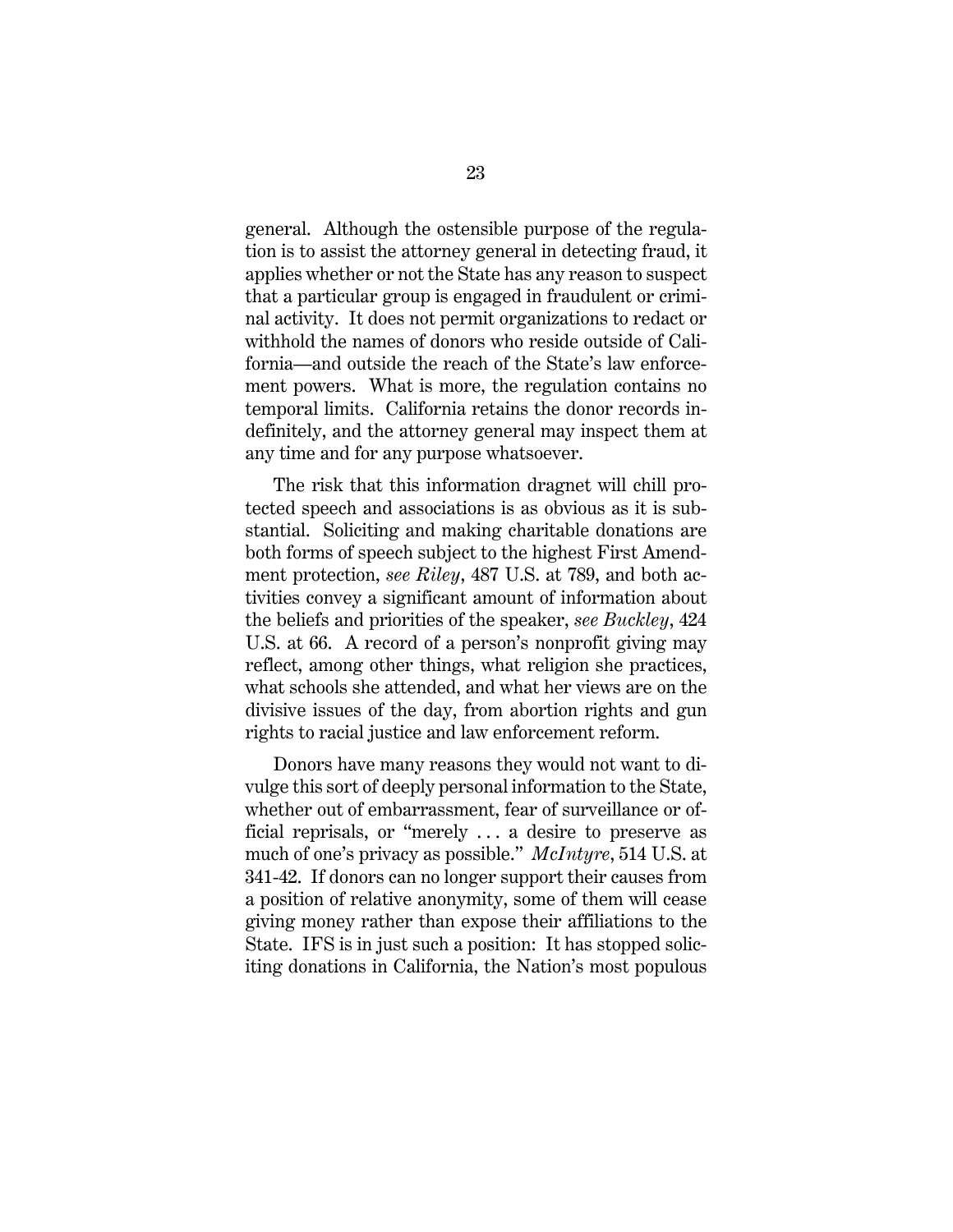general. Although the ostensible purpose of the regulation is to assist the attorney general in detecting fraud, it applies whether or not the State has any reason to suspect that a particular group is engaged in fraudulent or criminal activity. It does not permit organizations to redact or withhold the names of donors who reside outside of California—and outside the reach of the State's law enforcement powers. What is more, the regulation contains no temporal limits. California retains the donor records indefinitely, and the attorney general may inspect them at any time and for any purpose whatsoever.

<span id="page-27-2"></span><span id="page-27-0"></span>The risk that this information dragnet will chill protected speech and associations is as obvious as it is substantial. Soliciting and making charitable donations are both forms of speech subject to the highest First Amendment protection, *see Riley*, 487 U.S. at 789, and both activities convey a significant amount of information about the beliefs and priorities of the speaker, *see Buckley*, 424 U.S. at 66. A record of a person's nonprofit giving may reflect, among other things, what religion she practices, what schools she attended, and what her views are on the divisive issues of the day, from abortion rights and gun rights to racial justice and law enforcement reform.

<span id="page-27-1"></span>Donors have many reasons they would not want to divulge this sort of deeply personal information to the State, whether out of embarrassment, fear of surveillance or official reprisals, or "merely . . . a desire to preserve as much of one's privacy as possible." *McIntyre*, 514 U.S. at 341-42. If donors can no longer support their causes from a position of relative anonymity, some of them will cease giving money rather than expose their affiliations to the State. IFS is in just such a position: It has stopped soliciting donations in California, the Nation's most populous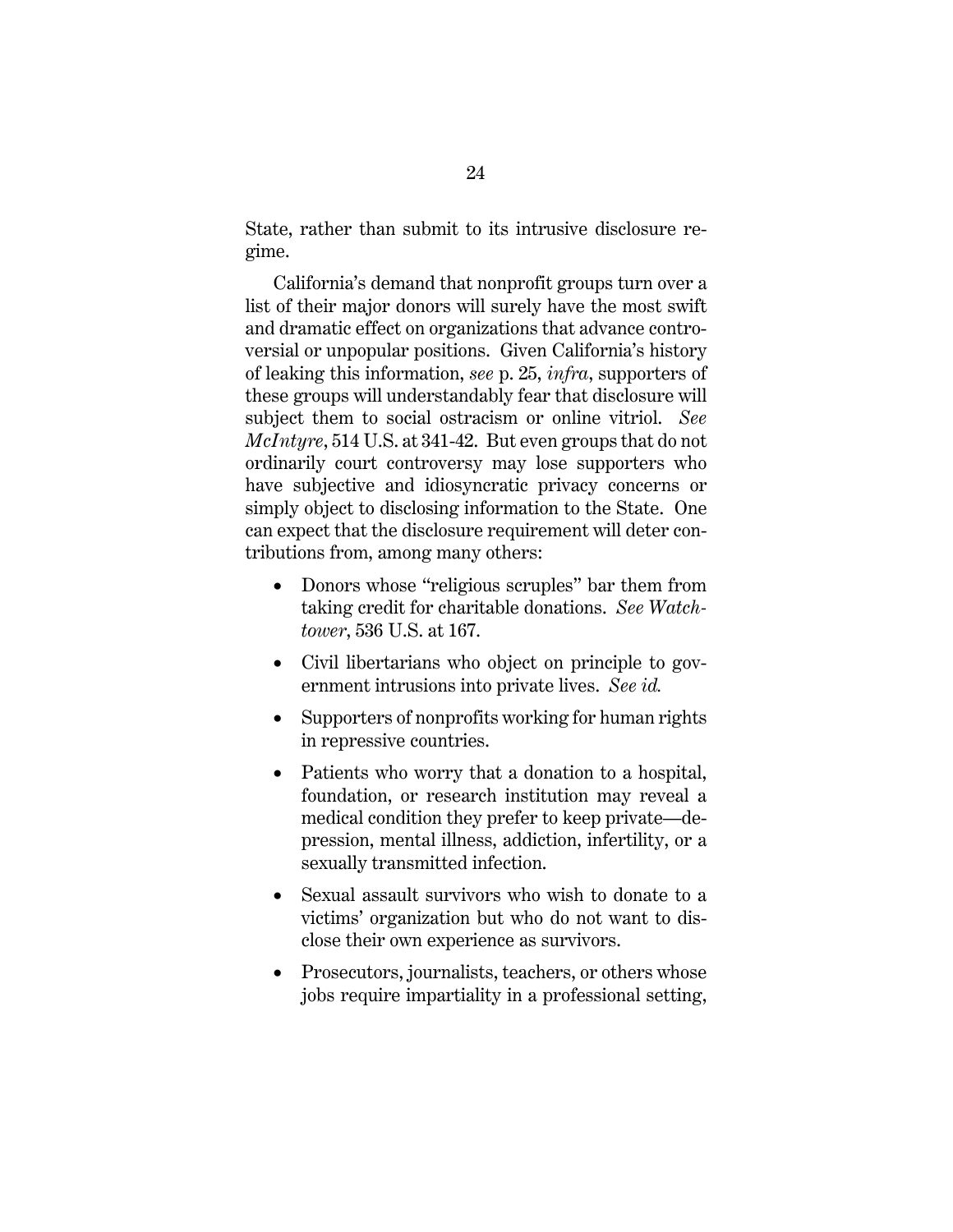State, rather than submit to its intrusive disclosure regime.

California's demand that nonprofit groups turn over a list of their major donors will surely have the most swift and dramatic effect on organizations that advance controversial or unpopular positions. Given California's history of leaking this information, *see* p. 25, *infra*, supporters of these groups will understandably fear that disclosure will subject them to social ostracism or online vitriol. *See McIntyre*, 514 U.S. at 341-42. But even groups that do not ordinarily court controversy may lose supporters who have subjective and idiosyncratic privacy concerns or simply object to disclosing information to the State. One can expect that the disclosure requirement will deter contributions from, among many others:

- <span id="page-28-0"></span>• Donors whose "religious scruples" bar them from taking credit for charitable donations. *See Watchtower*, 536 U.S. at 167.
- <span id="page-28-1"></span>• Civil libertarians who object on principle to government intrusions into private lives. *See id.*
- Supporters of nonprofits working for human rights in repressive countries.
- Patients who worry that a donation to a hospital, foundation, or research institution may reveal a medical condition they prefer to keep private—depression, mental illness, addiction, infertility, or a sexually transmitted infection.
- Sexual assault survivors who wish to donate to a victims' organization but who do not want to disclose their own experience as survivors.
- Prosecutors, journalists, teachers, or others whose jobs require impartiality in a professional setting,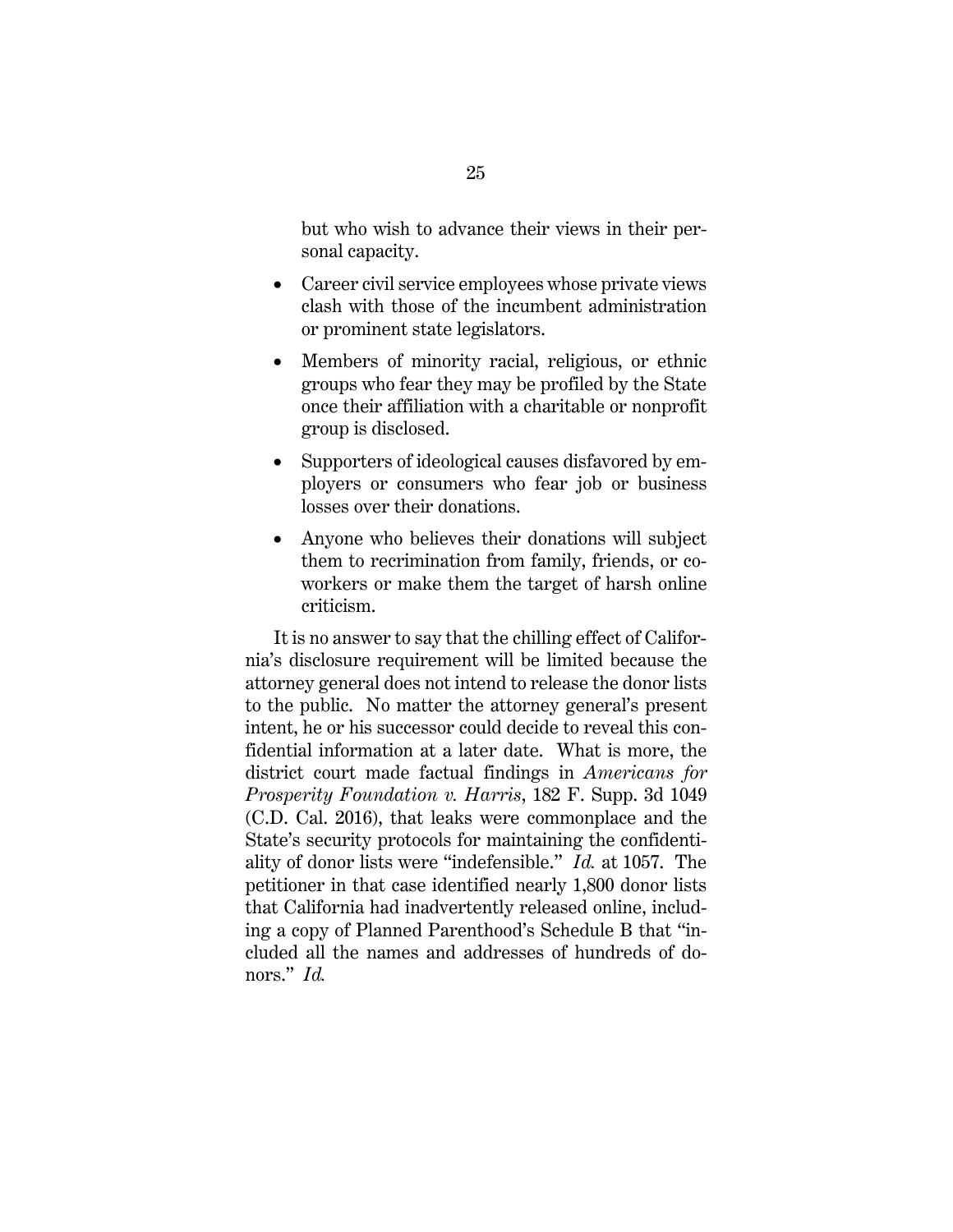but who wish to advance their views in their personal capacity.

- Career civil service employees whose private views clash with those of the incumbent administration or prominent state legislators.
- Members of minority racial, religious, or ethnic groups who fear they may be profiled by the State once their affiliation with a charitable or nonprofit group is disclosed.
- Supporters of ideological causes disfavored by employers or consumers who fear job or business losses over their donations.
- Anyone who believes their donations will subject them to recrimination from family, friends, or coworkers or make them the target of harsh online criticism.

<span id="page-29-0"></span>It is no answer to say that the chilling effect of California's disclosure requirement will be limited because the attorney general does not intend to release the donor lists to the public. No matter the attorney general's present intent, he or his successor could decide to reveal this confidential information at a later date. What is more, the district court made factual findings in *Americans for Prosperity Foundation v. Harris*, 182 F. Supp. 3d 1049 (C.D. Cal. 2016), that leaks were commonplace and the State's security protocols for maintaining the confidentiality of donor lists were "indefensible." *Id.* at 1057. The petitioner in that case identified nearly 1,800 donor lists that California had inadvertently released online, including a copy of Planned Parenthood's Schedule B that "included all the names and addresses of hundreds of donors." *Id.*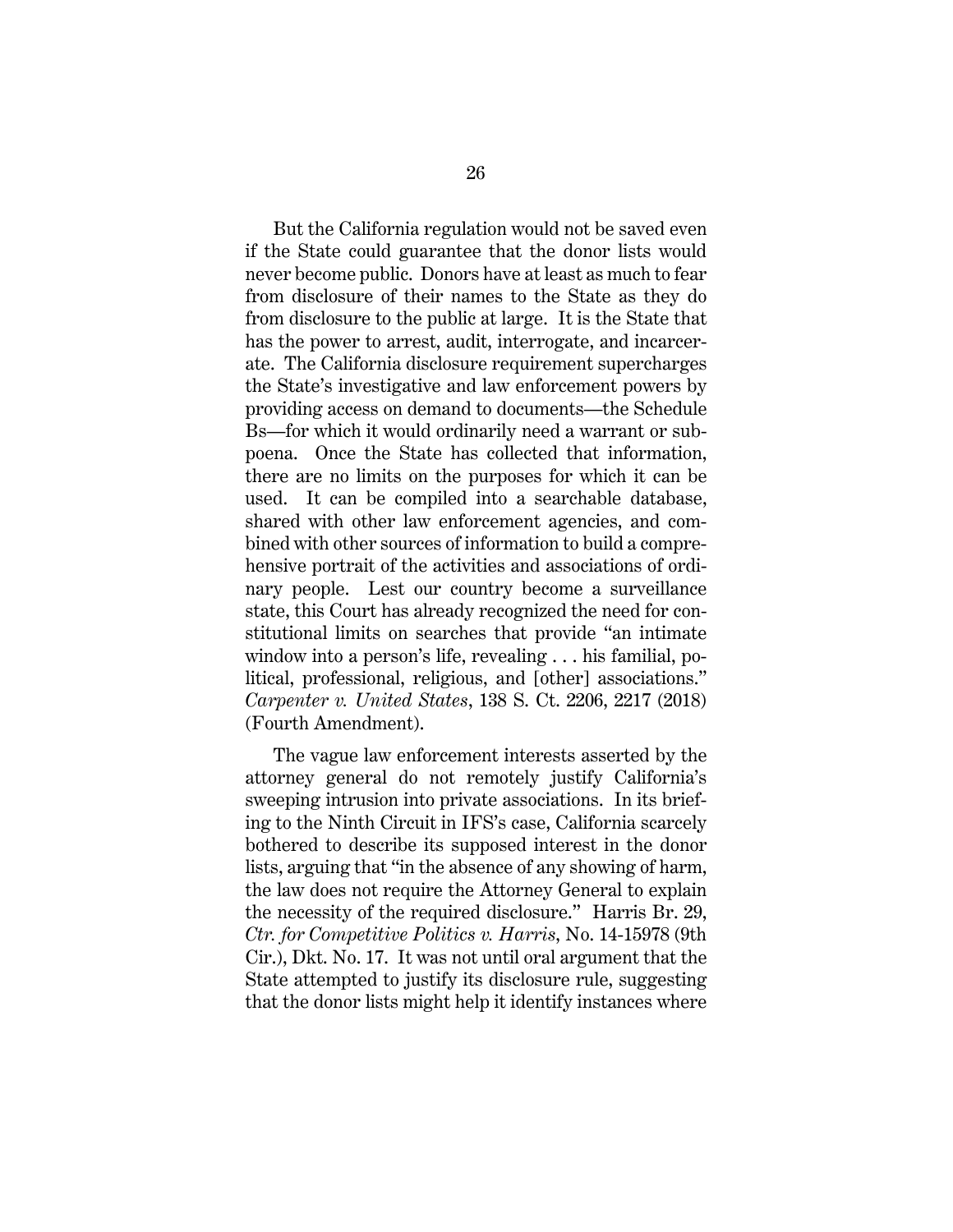But the California regulation would not be saved even if the State could guarantee that the donor lists would never become public. Donors have at least as much to fear from disclosure of their names to the State as they do from disclosure to the public at large. It is the State that has the power to arrest, audit, interrogate, and incarcerate. The California disclosure requirement supercharges the State's investigative and law enforcement powers by providing access on demand to documents—the Schedule Bs—for which it would ordinarily need a warrant or subpoena. Once the State has collected that information, there are no limits on the purposes for which it can be used. It can be compiled into a searchable database, shared with other law enforcement agencies, and combined with other sources of information to build a comprehensive portrait of the activities and associations of ordinary people. Lest our country become a surveillance state, this Court has already recognized the need for constitutional limits on searches that provide "an intimate window into a person's life, revealing . . . his familial, political, professional, religious, and [other] associations." *Carpenter v. United States*, 138 S. Ct. 2206, 2217 (2018) (Fourth Amendment).

<span id="page-30-1"></span><span id="page-30-0"></span>The vague law enforcement interests asserted by the attorney general do not remotely justify California's sweeping intrusion into private associations. In its briefing to the Ninth Circuit in IFS's case, California scarcely bothered to describe its supposed interest in the donor lists, arguing that "in the absence of any showing of harm, the law does not require the Attorney General to explain the necessity of the required disclosure." Harris Br. 29, *Ctr. for Competitive Politics v. Harris*, No. 14-15978 (9th Cir.), Dkt. No. 17. It was not until oral argument that the State attempted to justify its disclosure rule, suggesting that the donor lists might help it identify instances where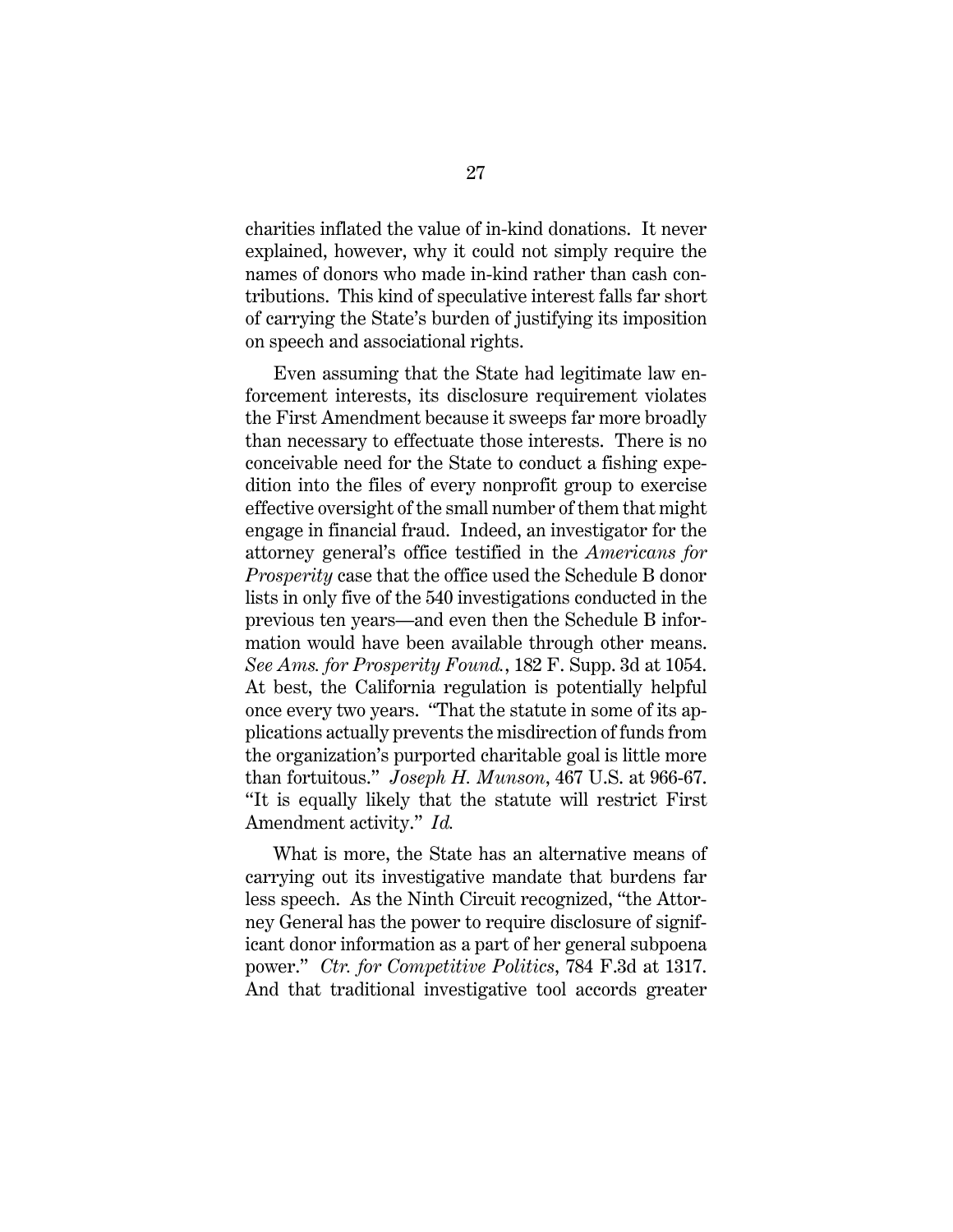charities inflated the value of in-kind donations. It never explained, however, why it could not simply require the names of donors who made in-kind rather than cash contributions. This kind of speculative interest falls far short of carrying the State's burden of justifying its imposition on speech and associational rights.

<span id="page-31-0"></span>Even assuming that the State had legitimate law enforcement interests, its disclosure requirement violates the First Amendment because it sweeps far more broadly than necessary to effectuate those interests. There is no conceivable need for the State to conduct a fishing expedition into the files of every nonprofit group to exercise effective oversight of the small number of them that might engage in financial fraud. Indeed, an investigator for the attorney general's office testified in the *Americans for Prosperity* case that the office used the Schedule B donor lists in only five of the 540 investigations conducted in the previous ten years—and even then the Schedule B information would have been available through other means. *See Ams. for Prosperity Found.*, 182 F. Supp. 3d at 1054. At best, the California regulation is potentially helpful once every two years. "That the statute in some of its applications actually prevents the misdirection of funds from the organization's purported charitable goal is little more than fortuitous." *Joseph H. Munson*, 467 U.S. at 966-67. "It is equally likely that the statute will restrict First Amendment activity." *Id.*

<span id="page-31-1"></span>What is more, the State has an alternative means of carrying out its investigative mandate that burdens far less speech. As the Ninth Circuit recognized, "the Attorney General has the power to require disclosure of significant donor information as a part of her general subpoena power." *Ctr. for Competitive Politics*, 784 F.3d at 1317. And that traditional investigative tool accords greater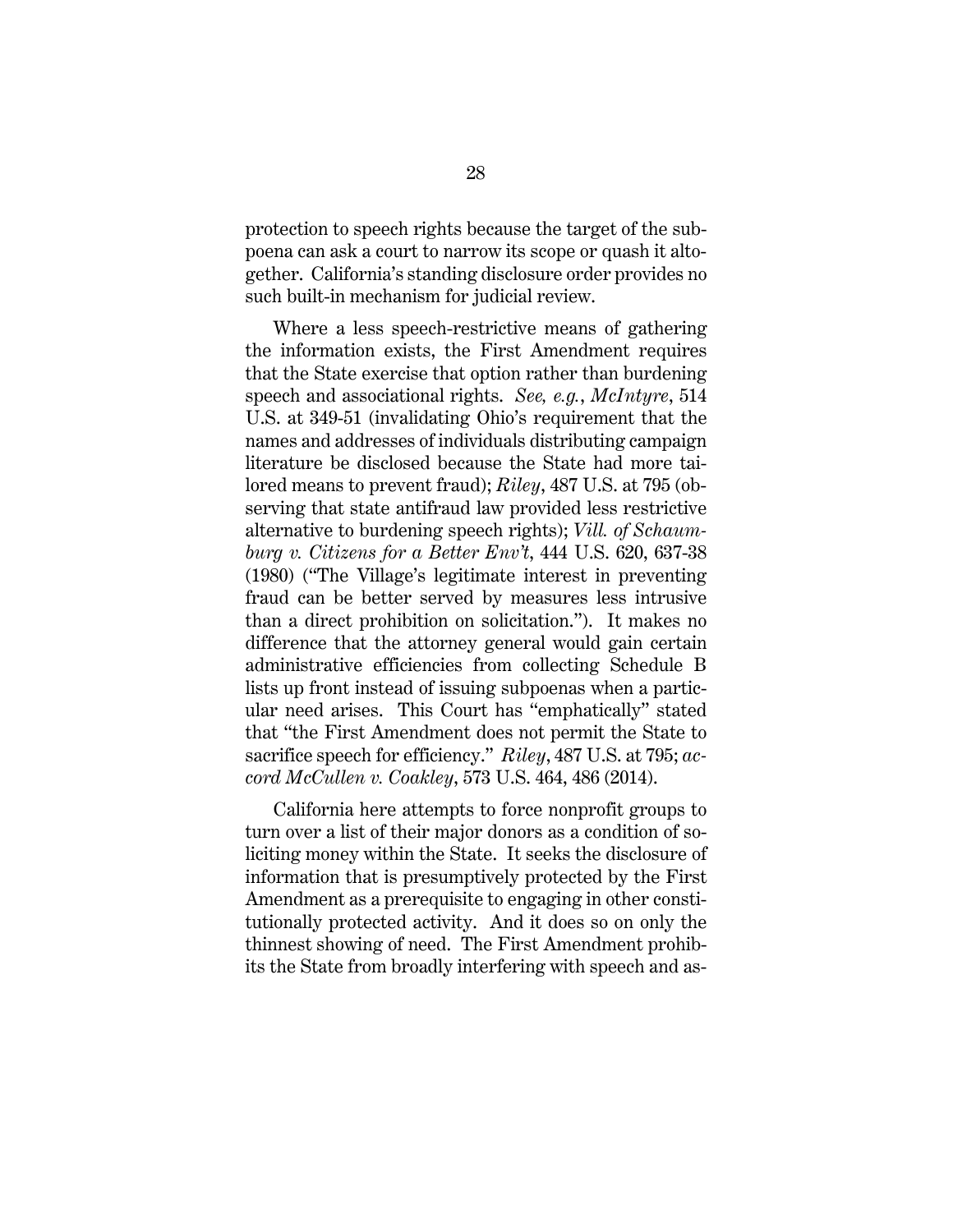protection to speech rights because the target of the subpoena can ask a court to narrow its scope or quash it altogether. California's standing disclosure order provides no such built-in mechanism for judicial review.

<span id="page-32-3"></span><span id="page-32-2"></span><span id="page-32-1"></span>Where a less speech-restrictive means of gathering the information exists, the First Amendment requires that the State exercise that option rather than burdening speech and associational rights. *See, e.g.*, *McIntyre*, 514 U.S. at 349-51 (invalidating Ohio's requirement that the names and addresses of individuals distributing campaign literature be disclosed because the State had more tailored means to prevent fraud); *Riley*, 487 U.S. at 795 (observing that state antifraud law provided less restrictive alternative to burdening speech rights); *Vill. of Schaumburg v. Citizens for a Better Env't*, 444 U.S. 620, 637-38 (1980) ("The Village's legitimate interest in preventing fraud can be better served by measures less intrusive than a direct prohibition on solicitation."). It makes no difference that the attorney general would gain certain administrative efficiencies from collecting Schedule B lists up front instead of issuing subpoenas when a particular need arises. This Court has "emphatically" stated that "the First Amendment does not permit the State to sacrifice speech for efficiency." *Riley*, 487 U.S. at 795; *accord McCullen v. Coakley*, 573 U.S. 464, 486 (2014).

<span id="page-32-0"></span>California here attempts to force nonprofit groups to turn over a list of their major donors as a condition of soliciting money within the State. It seeks the disclosure of information that is presumptively protected by the First Amendment as a prerequisite to engaging in other constitutionally protected activity. And it does so on only the thinnest showing of need. The First Amendment prohibits the State from broadly interfering with speech and as